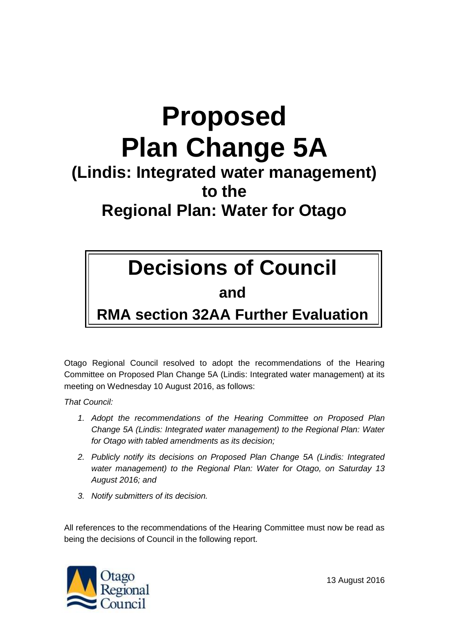# **Proposed Plan Change 5A**

# **(Lindis: Integrated water management) to the Regional Plan: Water for Otago**

# **Decisions of Council**

# **and**

# **RMA section 32AA Further Evaluation**

Otago Regional Council resolved to adopt the recommendations of the Hearing Committee on Proposed Plan Change 5A (Lindis: Integrated water management) at its meeting on Wednesday 10 August 2016, as follows:

*That Council:*

- *1. Adopt the recommendations of the Hearing Committee on Proposed Plan Change 5A (Lindis: Integrated water management) to the Regional Plan: Water for Otago with tabled amendments as its decision;*
- *2. Publicly notify its decisions on Proposed Plan Change 5A (Lindis: Integrated water management) to the Regional Plan: Water for Otago, on Saturday 13 August 2016; and*
- *3. Notify submitters of its decision.*

All references to the recommendations of the Hearing Committee must now be read as being the decisions of Council in the following report.

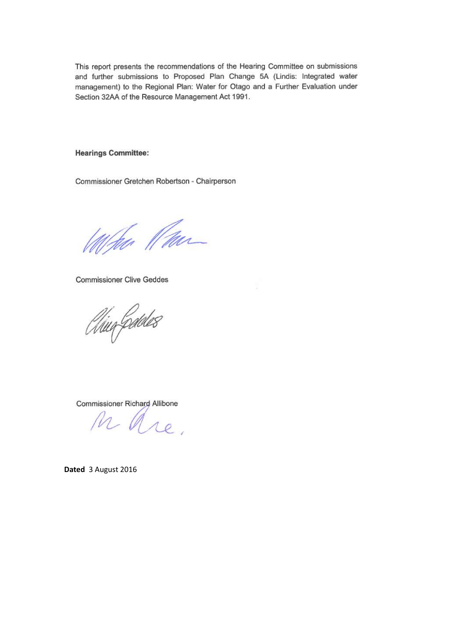This report presents the recommendations of the Hearing Committee on submissions and further submissions to Proposed Plan Change 5A (Lindis: Integrated water management) to the Regional Plan: Water for Otago and a Further Evaluation under Section 32AA of the Resource Management Act 1991.

**Hearings Committee:** 

Commissioner Gretchen Robertson - Chairperson

Wha Han

**Commissioner Clive Geddes** 

Ming Coddes

Commissioner Richard Allibone

M are.

**Dated** 3 August 2016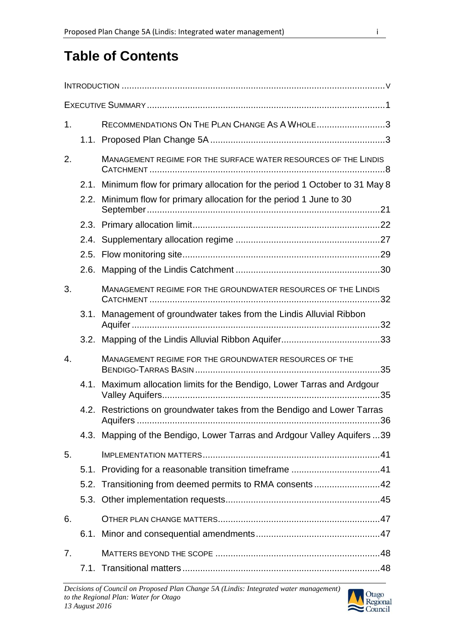# **Table of Contents**

| 1 <sub>1</sub>   |      | RECOMMENDATIONS ON THE PLAN CHANGE AS A WHOLE3                                |
|------------------|------|-------------------------------------------------------------------------------|
|                  |      |                                                                               |
| 2.               |      | MANAGEMENT REGIME FOR THE SURFACE WATER RESOURCES OF THE LINDIS               |
|                  |      | 2.1. Minimum flow for primary allocation for the period 1 October to 31 May 8 |
|                  |      | 2.2. Minimum flow for primary allocation for the period 1 June to 30          |
|                  |      |                                                                               |
|                  |      |                                                                               |
|                  |      |                                                                               |
|                  |      |                                                                               |
| 3.               |      | MANAGEMENT REGIME FOR THE GROUNDWATER RESOURCES OF THE LINDIS                 |
|                  |      | 3.1. Management of groundwater takes from the Lindis Alluvial Ribbon          |
|                  |      |                                                                               |
| $\overline{4}$ . |      | MANAGEMENT REGIME FOR THE GROUNDWATER RESOURCES OF THE                        |
|                  | 4.1. | Maximum allocation limits for the Bendigo, Lower Tarras and Ardgour           |
|                  |      | 4.2. Restrictions on groundwater takes from the Bendigo and Lower Tarras      |
|                  |      | 4.3. Mapping of the Bendigo, Lower Tarras and Ardgour Valley Aquifers  39     |
| 5.               |      |                                                                               |
|                  |      | 5.1. Providing for a reasonable transition timeframe 41                       |
|                  |      | 5.2. Transitioning from deemed permits to RMA consents42                      |
|                  |      |                                                                               |
| 6.               |      |                                                                               |
|                  |      |                                                                               |
| 7.               |      |                                                                               |
|                  |      |                                                                               |

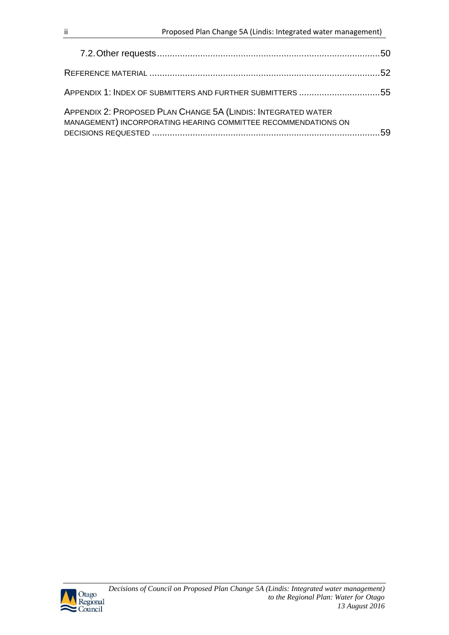| APPENDIX 1: INDEX OF SUBMITTERS AND FURTHER SUBMITTERS 55                                                                       |  |
|---------------------------------------------------------------------------------------------------------------------------------|--|
| APPENDIX 2: PROPOSED PLAN CHANGE 5A (LINDIS: INTEGRATED WATER<br>MANAGEMENT) INCORPORATING HEARING COMMITTEE RECOMMENDATIONS ON |  |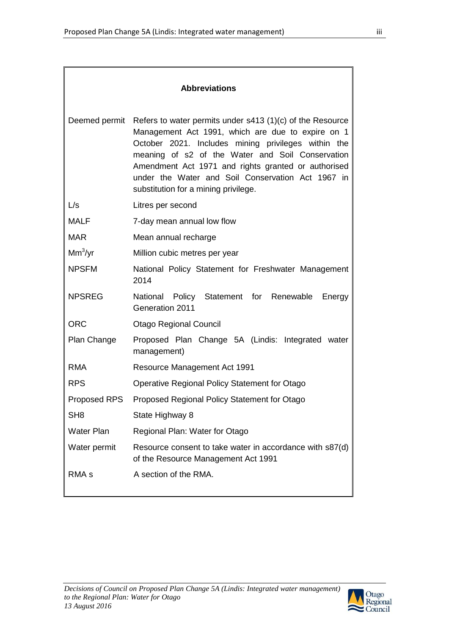| <b>Abbreviations</b> |                                                                                                                                                                                                                                                                                                                                                                                 |  |  |
|----------------------|---------------------------------------------------------------------------------------------------------------------------------------------------------------------------------------------------------------------------------------------------------------------------------------------------------------------------------------------------------------------------------|--|--|
| Deemed permit        | Refers to water permits under $s413$ (1)(c) of the Resource<br>Management Act 1991, which are due to expire on 1<br>October 2021. Includes mining privileges within the<br>meaning of s2 of the Water and Soil Conservation<br>Amendment Act 1971 and rights granted or authorised<br>under the Water and Soil Conservation Act 1967 in<br>substitution for a mining privilege. |  |  |
| L/s                  | Litres per second                                                                                                                                                                                                                                                                                                                                                               |  |  |
| <b>MALF</b>          | 7-day mean annual low flow                                                                                                                                                                                                                                                                                                                                                      |  |  |
| <b>MAR</b>           | Mean annual recharge                                                                                                                                                                                                                                                                                                                                                            |  |  |
| Mm <sup>3</sup> /yr  | Million cubic metres per year                                                                                                                                                                                                                                                                                                                                                   |  |  |
| <b>NPSFM</b>         | National Policy Statement for Freshwater Management<br>2014                                                                                                                                                                                                                                                                                                                     |  |  |
| <b>NPSREG</b>        | National Policy Statement for Renewable<br>Energy<br>Generation 2011                                                                                                                                                                                                                                                                                                            |  |  |
| <b>ORC</b>           | <b>Otago Regional Council</b>                                                                                                                                                                                                                                                                                                                                                   |  |  |
| Plan Change          | Proposed Plan Change 5A (Lindis: Integrated water<br>management)                                                                                                                                                                                                                                                                                                                |  |  |
| <b>RMA</b>           | <b>Resource Management Act 1991</b>                                                                                                                                                                                                                                                                                                                                             |  |  |
| <b>RPS</b>           | Operative Regional Policy Statement for Otago                                                                                                                                                                                                                                                                                                                                   |  |  |
| Proposed RPS         | Proposed Regional Policy Statement for Otago                                                                                                                                                                                                                                                                                                                                    |  |  |
| SH <sub>8</sub>      | State Highway 8                                                                                                                                                                                                                                                                                                                                                                 |  |  |
| <b>Water Plan</b>    | Regional Plan: Water for Otago                                                                                                                                                                                                                                                                                                                                                  |  |  |
| Water permit         | Resource consent to take water in accordance with s87(d)<br>of the Resource Management Act 1991                                                                                                                                                                                                                                                                                 |  |  |
| RMA <sub>s</sub>     | A section of the RMA.                                                                                                                                                                                                                                                                                                                                                           |  |  |

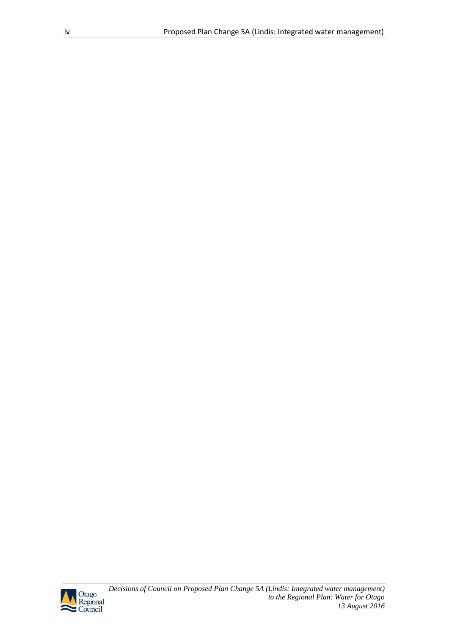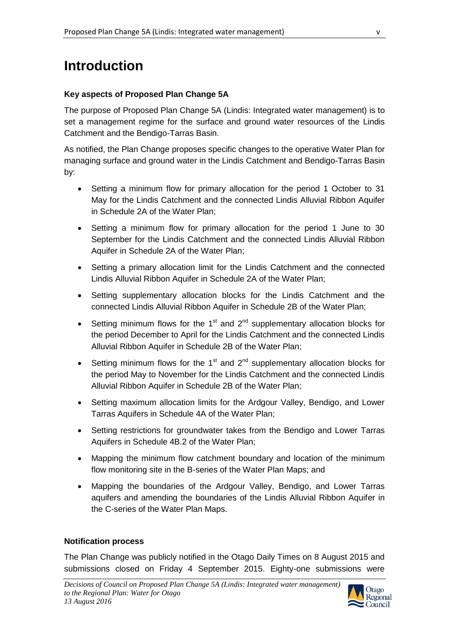# <span id="page-8-0"></span>**Introduction**

### **Key aspects of Proposed Plan Change 5A**

The purpose of Proposed Plan Change 5A (Lindis: Integrated water management) is to set a management regime for the surface and ground water resources of the Lindis Catchment and the Bendigo-Tarras Basin.

As notified, the Plan Change proposes specific changes to the operative Water Plan for managing surface and ground water in the Lindis Catchment and Bendigo-Tarras Basin by:

- Setting a minimum flow for primary allocation for the period 1 October to 31 May for the Lindis Catchment and the connected Lindis Alluvial Ribbon Aquifer in Schedule 2A of the Water Plan;
- Setting a minimum flow for primary allocation for the period 1 June to 30 September for the Lindis Catchment and the connected Lindis Alluvial Ribbon Aquifer in Schedule 2A of the Water Plan;
- Setting a primary allocation limit for the Lindis Catchment and the connected Lindis Alluvial Ribbon Aquifer in Schedule 2A of the Water Plan;
- Setting supplementary allocation blocks for the Lindis Catchment and the connected Lindis Alluvial Ribbon Aquifer in Schedule 2B of the Water Plan;
- Setting minimum flows for the 1<sup>st</sup> and  $2^{nd}$  supplementary allocation blocks for the period December to April for the Lindis Catchment and the connected Lindis Alluvial Ribbon Aquifer in Schedule 2B of the Water Plan;
- Setting minimum flows for the 1<sup>st</sup> and  $2^{nd}$  supplementary allocation blocks for the period May to November for the Lindis Catchment and the connected Lindis Alluvial Ribbon Aquifer in Schedule 2B of the Water Plan;
- Setting maximum allocation limits for the Ardgour Valley, Bendigo, and Lower Tarras Aquifers in Schedule 4A of the Water Plan;
- Setting restrictions for groundwater takes from the Bendigo and Lower Tarras Aquifers in Schedule 4B.2 of the Water Plan;
- Mapping the minimum flow catchment boundary and location of the minimum flow monitoring site in the B-series of the Water Plan Maps; and
- Mapping the boundaries of the Ardgour Valley, Bendigo, and Lower Tarras aquifers and amending the boundaries of the Lindis Alluvial Ribbon Aquifer in the C-series of the Water Plan Maps.

### **Notification process**

The Plan Change was publicly notified in the Otago Daily Times on 8 August 2015 and submissions closed on Friday 4 September 2015. Eighty-one submissions were

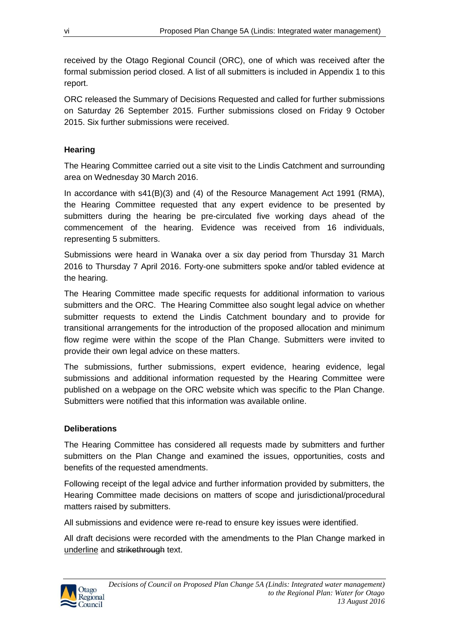received by the Otago Regional Council (ORC), one of which was received after the formal submission period closed. A list of all submitters is included in Appendix 1 to this report.

ORC released the Summary of Decisions Requested and called for further submissions on Saturday 26 September 2015. Further submissions closed on Friday 9 October 2015. Six further submissions were received.

### **Hearing**

The Hearing Committee carried out a site visit to the Lindis Catchment and surrounding area on Wednesday 30 March 2016.

In accordance with s41(B)(3) and (4) of the Resource Management Act 1991 (RMA), the Hearing Committee requested that any expert evidence to be presented by submitters during the hearing be pre-circulated five working days ahead of the commencement of the hearing. Evidence was received from 16 individuals, representing 5 submitters.

Submissions were heard in Wanaka over a six day period from Thursday 31 March 2016 to Thursday 7 April 2016. Forty-one submitters spoke and/or tabled evidence at the hearing.

The Hearing Committee made specific requests for additional information to various submitters and the ORC. The Hearing Committee also sought legal advice on whether submitter requests to extend the Lindis Catchment boundary and to provide for transitional arrangements for the introduction of the proposed allocation and minimum flow regime were within the scope of the Plan Change. Submitters were invited to provide their own legal advice on these matters.

The submissions, further submissions, expert evidence, hearing evidence, legal submissions and additional information requested by the Hearing Committee were published on a webpage on the ORC website which was specific to the Plan Change. Submitters were notified that this information was available online.

### **Deliberations**

The Hearing Committee has considered all requests made by submitters and further submitters on the Plan Change and examined the issues, opportunities, costs and benefits of the requested amendments.

Following receipt of the legal advice and further information provided by submitters, the Hearing Committee made decisions on matters of scope and jurisdictional/procedural matters raised by submitters.

All submissions and evidence were re-read to ensure key issues were identified.

All draft decisions were recorded with the amendments to the Plan Change marked in underline and strikethrough text.

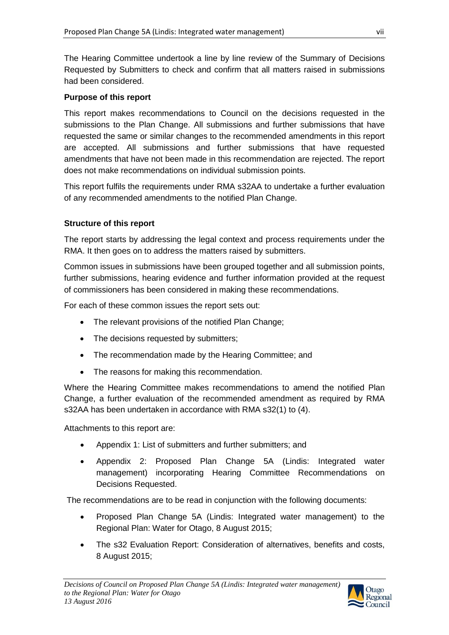The Hearing Committee undertook a line by line review of the Summary of Decisions Requested by Submitters to check and confirm that all matters raised in submissions had been considered.

### **Purpose of this report**

This report makes recommendations to Council on the decisions requested in the submissions to the Plan Change. All submissions and further submissions that have requested the same or similar changes to the recommended amendments in this report are accepted. All submissions and further submissions that have requested amendments that have not been made in this recommendation are rejected. The report does not make recommendations on individual submission points.

This report fulfils the requirements under RMA s32AA to undertake a further evaluation of any recommended amendments to the notified Plan Change.

### **Structure of this report**

The report starts by addressing the legal context and process requirements under the RMA. It then goes on to address the matters raised by submitters.

Common issues in submissions have been grouped together and all submission points, further submissions, hearing evidence and further information provided at the request of commissioners has been considered in making these recommendations.

For each of these common issues the report sets out:

- The relevant provisions of the notified Plan Change;
- The decisions requested by submitters;
- The recommendation made by the Hearing Committee: and
- The reasons for making this recommendation.

Where the Hearing Committee makes recommendations to amend the notified Plan Change, a further evaluation of the recommended amendment as required by RMA s32AA has been undertaken in accordance with RMA s32(1) to (4).

Attachments to this report are:

- Appendix 1: List of submitters and further submitters; and
- Appendix 2: Proposed Plan Change 5A (Lindis: Integrated water management) incorporating Hearing Committee Recommendations on Decisions Requested.

The recommendations are to be read in conjunction with the following documents:

- Proposed Plan Change 5A (Lindis: Integrated water management) to the Regional Plan: Water for Otago, 8 August 2015;
- The s32 Evaluation Report: Consideration of alternatives, benefits and costs, 8 August 2015;

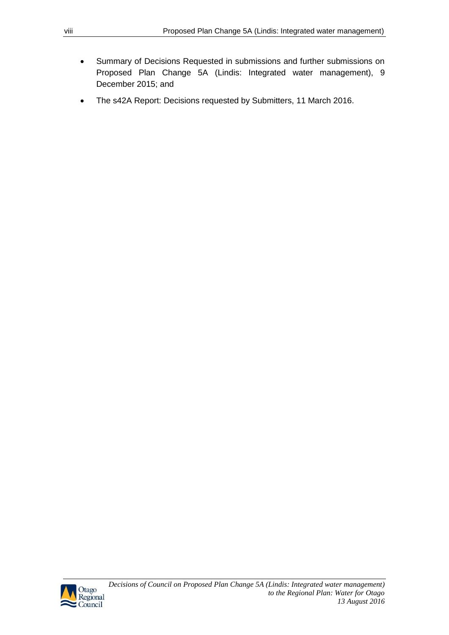- Summary of Decisions Requested in submissions and further submissions on Proposed Plan Change 5A (Lindis: Integrated water management), 9 December 2015; and
- The s42A Report: Decisions requested by Submitters, 11 March 2016.

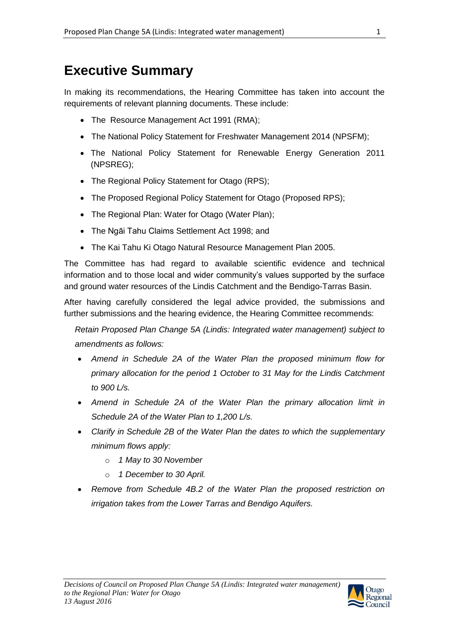# <span id="page-12-0"></span>**Executive Summary**

In making its recommendations, the Hearing Committee has taken into account the requirements of relevant planning documents. These include:

- The Resource Management Act 1991 (RMA);
- The National Policy Statement for Freshwater Management 2014 (NPSFM);
- The National Policy Statement for Renewable Energy Generation 2011 (NPSREG);
- The Regional Policy Statement for Otago (RPS);
- The Proposed Regional Policy Statement for Otago (Proposed RPS);
- The Regional Plan: Water for Otago (Water Plan);
- The Ngai Tahu Claims Settlement Act 1998; and
- The Kai Tahu Ki Otago Natural Resource Management Plan 2005.

The Committee has had regard to available scientific evidence and technical information and to those local and wider community's values supported by the surface and ground water resources of the Lindis Catchment and the Bendigo-Tarras Basin.

After having carefully considered the legal advice provided, the submissions and further submissions and the hearing evidence, the Hearing Committee recommends:

*Retain Proposed Plan Change 5A (Lindis: Integrated water management) subject to amendments as follows:*

- *Amend in Schedule 2A of the Water Plan the proposed minimum flow for primary allocation for the period 1 October to 31 May for the Lindis Catchment to 900 L/s.*
- *Amend in Schedule 2A of the Water Plan the primary allocation limit in Schedule 2A of the Water Plan to 1,200 L/s.*
- *Clarify in Schedule 2B of the Water Plan the dates to which the supplementary minimum flows apply:*
	- o *1 May to 30 November*
	- o *1 December to 30 April.*
- *Remove from Schedule 4B.2 of the Water Plan the proposed restriction on irrigation takes from the Lower Tarras and Bendigo Aquifers.*

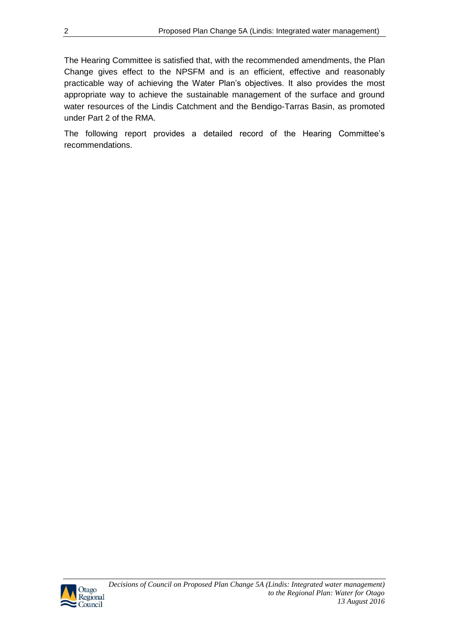The Hearing Committee is satisfied that, with the recommended amendments, the Plan Change gives effect to the NPSFM and is an efficient, effective and reasonably practicable way of achieving the Water Plan's objectives. It also provides the most appropriate way to achieve the sustainable management of the surface and ground water resources of the Lindis Catchment and the Bendigo-Tarras Basin, as promoted under Part 2 of the RMA.

The following report provides a detailed record of the Hearing Committee's recommendations.

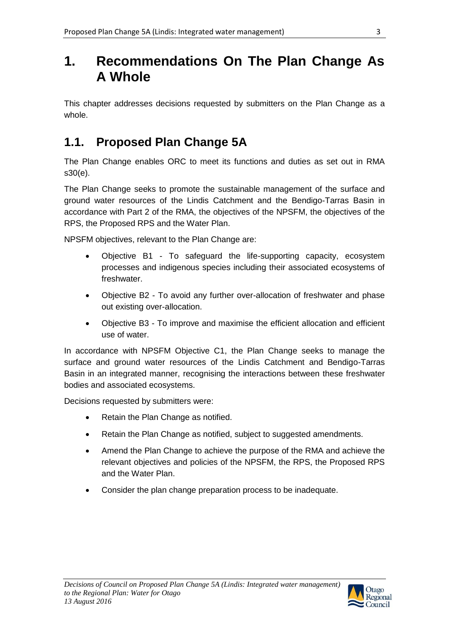# <span id="page-14-0"></span>**1. Recommendations On The Plan Change As A Whole**

This chapter addresses decisions requested by submitters on the Plan Change as a whole.

# <span id="page-14-1"></span>**1.1. Proposed Plan Change 5A**

The Plan Change enables ORC to meet its functions and duties as set out in RMA s30(e).

The Plan Change seeks to promote the sustainable management of the surface and ground water resources of the Lindis Catchment and the Bendigo-Tarras Basin in accordance with Part 2 of the RMA, the objectives of the NPSFM, the objectives of the RPS, the Proposed RPS and the Water Plan.

NPSFM objectives, relevant to the Plan Change are:

- Objective B1 To safeguard the life-supporting capacity, ecosystem processes and indigenous species including their associated ecosystems of freshwater.
- Objective B2 To avoid any further over-allocation of freshwater and phase out existing over-allocation.
- Objective B3 To improve and maximise the efficient allocation and efficient use of water.

In accordance with NPSFM Objective C1, the Plan Change seeks to manage the surface and ground water resources of the Lindis Catchment and Bendigo-Tarras Basin in an integrated manner, recognising the interactions between these freshwater bodies and associated ecosystems.

Decisions requested by submitters were:

- Retain the Plan Change as notified.
- Retain the Plan Change as notified, subject to suggested amendments.
- Amend the Plan Change to achieve the purpose of the RMA and achieve the relevant objectives and policies of the NPSFM, the RPS, the Proposed RPS and the Water Plan.
- Consider the plan change preparation process to be inadequate.

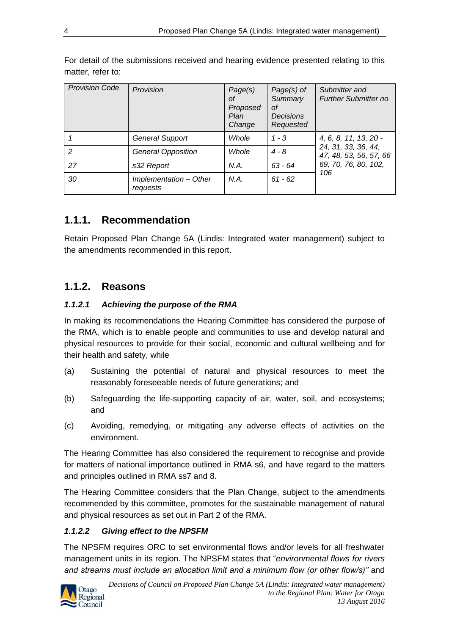| <b>Provision Code</b> | Provision                          | Page(s)<br>Οf<br>Proposed<br>Plan<br>Change | $Page(s)$ of<br>Summary<br>Οf<br><b>Decisions</b><br>Requested | Submitter and<br><b>Further Submitter no</b>  |
|-----------------------|------------------------------------|---------------------------------------------|----------------------------------------------------------------|-----------------------------------------------|
|                       | <b>General Support</b>             | Whole                                       | $1 - 3$                                                        | 4, 6, 8, 11, 13, 20 -                         |
| 2                     | <b>General Opposition</b>          | Whole                                       | $4 - 8$                                                        | 24, 31, 33, 36, 44,<br>47, 48, 53, 56, 57, 66 |
| 27                    | s32 Report                         | N.A.                                        | $63 - 64$                                                      | 69, 70, 76, 80, 102,                          |
| 30                    | Implementation - Other<br>requests | N.A.                                        | $61 - 62$                                                      | 106                                           |

For detail of the submissions received and hearing evidence presented relating to this matter, refer to:

### **1.1.1. Recommendation**

Retain Proposed Plan Change 5A (Lindis: Integrated water management) subject to the amendments recommended in this report.

### **1.1.2. Reasons**

### *1.1.2.1 Achieving the purpose of the RMA*

In making its recommendations the Hearing Committee has considered the purpose of the RMA, which is to enable people and communities to use and develop natural and physical resources to provide for their social, economic and cultural wellbeing and for their health and safety, while

- (a) Sustaining the potential of natural and physical resources to meet the reasonably foreseeable needs of future generations; and
- (b) Safeguarding the life-supporting capacity of air, water, soil, and ecosystems; and
- (c) Avoiding, remedying, or mitigating any adverse effects of activities on the environment.

The Hearing Committee has also considered the requirement to recognise and provide for matters of national importance outlined in RMA s6, and have regard to the matters and principles outlined in RMA ss7 and 8.

The Hearing Committee considers that the Plan Change, subject to the amendments recommended by this committee, promotes for the sustainable management of natural and physical resources as set out in Part 2 of the RMA.

### *1.1.2.2 Giving effect to the NPSFM*

The NPSFM requires ORC to set environmental flows and/or levels for all freshwater management units in its region. The NPSFM states that "*environmental flows for rivers*  and streams must include an allocation limit and a minimum flow (or other flow/s)" and

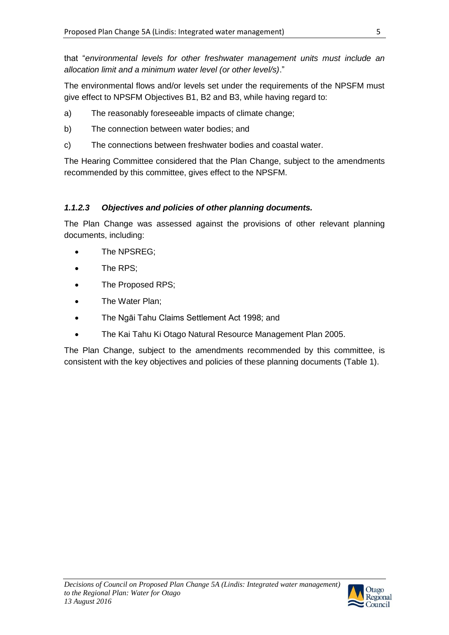that "*environmental levels for other freshwater management units must include an allocation limit and a minimum water level (or other level/s)*."

The environmental flows and/or levels set under the requirements of the NPSFM must give effect to NPSFM Objectives B1, B2 and B3, while having regard to:

- a) The reasonably foreseeable impacts of climate change;
- b) The connection between water bodies; and
- c) The connections between freshwater bodies and coastal water.

The Hearing Committee considered that the Plan Change, subject to the amendments recommended by this committee, gives effect to the NPSFM.

### *1.1.2.3 Objectives and policies of other planning documents.*

The Plan Change was assessed against the provisions of other relevant planning documents, including:

- The NPSREG;
- The RPS:
- The Proposed RPS;
- The Water Plan;
- The Ngāi Tahu Claims Settlement Act 1998; and
- The Kai Tahu Ki Otago Natural Resource Management Plan 2005.

The Plan Change, subject to the amendments recommended by this committee, is consistent with the key objectives and policies of these planning documents (Table 1).

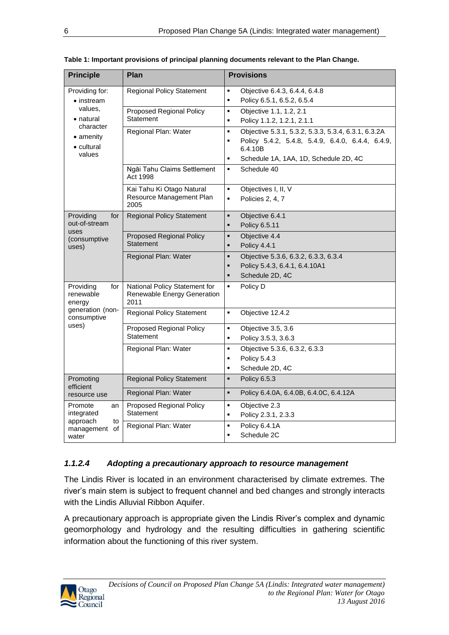| <b>Principle</b>                         | Plan                                                                 | <b>Provisions</b>                                                                                                                                                                                                 |
|------------------------------------------|----------------------------------------------------------------------|-------------------------------------------------------------------------------------------------------------------------------------------------------------------------------------------------------------------|
| Providing for:<br>• instream             | <b>Regional Policy Statement</b>                                     | Objective 6.4.3, 6.4.4, 6.4.8<br>$\blacksquare$<br>Policy 6.5.1, 6.5.2, 6.5.4<br>٠                                                                                                                                |
| values,<br>• natural<br>character        | Proposed Regional Policy<br>Statement                                | Objective 1.1, 1.2, 2.1<br>$\blacksquare$<br>Policy 1.1.2, 1.2.1, 2.1.1<br>٠                                                                                                                                      |
| • amenity<br>• cultural<br>values        | Regional Plan: Water                                                 | Objective 5.3.1, 5.3.2, 5.3.3, 5.3.4, 6.3.1, 6.3.2A<br>$\blacksquare$<br>Policy 5.4.2, 5.4.8, 5.4.9, 6.4.0, 6.4.4, 6.4.9,<br>$\blacksquare$<br>6.4.10B<br>Schedule 1A, 1AA, 1D, Schedule 2D, 4C<br>$\blacksquare$ |
|                                          | Ngāi Tahu Claims Settlement<br>Act 1998                              | Schedule 40<br>$\blacksquare$                                                                                                                                                                                     |
|                                          | Kai Tahu Ki Otago Natural<br>Resource Management Plan<br>2005        | Objectives I, II, V<br>$\blacksquare$<br>Policies 2, 4, 7<br>٠                                                                                                                                                    |
| Providing<br>for<br>out-of-stream        | <b>Regional Policy Statement</b>                                     | Objective 6.4.1<br>$\blacksquare$<br>Policy 6.5.11<br>$\blacksquare$                                                                                                                                              |
| uses<br>(consumptive<br>uses)            | <b>Proposed Regional Policy</b><br><b>Statement</b>                  | $\blacksquare$<br>Objective 4.4<br>Policy 4.4.1<br>٠                                                                                                                                                              |
|                                          | Regional Plan: Water                                                 | Objective 5.3.6, 6.3.2, 6.3.3, 6.3.4<br>$\blacksquare$<br>Policy 5.4.3, 6.4.1, 6.4.10A1<br>Schedule 2D, 4C<br>٠                                                                                                   |
| Providing<br>for<br>renewable<br>energy  | National Policy Statement for<br>Renewable Energy Generation<br>2011 | Policy D<br>$\blacksquare$                                                                                                                                                                                        |
| generation (non-<br>consumptive          | <b>Regional Policy Statement</b>                                     | Objective 12.4.2<br>$\blacksquare$                                                                                                                                                                                |
| uses)                                    | Proposed Regional Policy<br>Statement                                | Objective 3.5, 3.6<br>٠<br>Policy 3.5.3, 3.6.3<br>п                                                                                                                                                               |
|                                          | Regional Plan: Water                                                 | $\blacksquare$<br>Objective 5.3.6, 6.3.2, 6.3.3<br>Policy 5.4.3<br>$\blacksquare$<br>Schedule 2D, 4C<br>٠                                                                                                         |
| Promoting<br>efficient                   | <b>Regional Policy Statement</b>                                     | <b>Policy 6.5.3</b><br>$\blacksquare$                                                                                                                                                                             |
| resource use                             | Regional Plan: Water                                                 | ٠<br>Policy 6.4.0A, 6.4.0B, 6.4.0C, 6.4.12A                                                                                                                                                                       |
| Promote<br>an<br>integrated              | Proposed Regional Policy<br>Statement                                | Objective 2.3<br>٠<br>Policy 2.3.1, 2.3.3<br>$\blacksquare$                                                                                                                                                       |
| approach<br>to<br>management of<br>water | Regional Plan: Water                                                 | Policy 6.4.1A<br>٠<br>Schedule 2C<br>п                                                                                                                                                                            |

|  |  |  | Table 1: Important provisions of principal planning documents relevant to the Plan Change. |
|--|--|--|--------------------------------------------------------------------------------------------|
|  |  |  |                                                                                            |

#### *1.1.2.4 Adopting a precautionary approach to resource management*

The Lindis River is located in an environment characterised by climate extremes. The river's main stem is subject to frequent channel and bed changes and strongly interacts with the Lindis Alluvial Ribbon Aquifer.

A precautionary approach is appropriate given the Lindis River's complex and dynamic geomorphology and hydrology and the resulting difficulties in gathering scientific information about the functioning of this river system.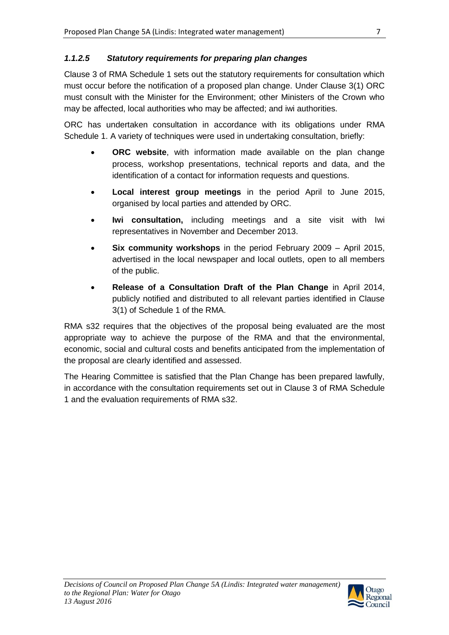### *1.1.2.5 Statutory requirements for preparing plan changes*

Clause 3 of RMA Schedule 1 sets out the statutory requirements for consultation which must occur before the notification of a proposed plan change. Under Clause 3(1) ORC must consult with the Minister for the Environment; other Ministers of the Crown who may be affected, local authorities who may be affected; and iwi authorities.

ORC has undertaken consultation in accordance with its obligations under RMA Schedule 1. A variety of techniques were used in undertaking consultation, briefly:

- **ORC website**, with information made available on the plan change process, workshop presentations, technical reports and data, and the identification of a contact for information requests and questions.
- **Local interest group meetings** in the period April to June 2015, organised by local parties and attended by ORC.
- **Iwi consultation,** including meetings and a site visit with Iwi representatives in November and December 2013.
- **Six community workshops** in the period February 2009 April 2015, advertised in the local newspaper and local outlets, open to all members of the public.
- **Release of a Consultation Draft of the Plan Change** in April 2014, publicly notified and distributed to all relevant parties identified in Clause 3(1) of Schedule 1 of the RMA.

RMA s32 requires that the objectives of the proposal being evaluated are the most appropriate way to achieve the purpose of the RMA and that the environmental, economic, social and cultural costs and benefits anticipated from the implementation of the proposal are clearly identified and assessed.

The Hearing Committee is satisfied that the Plan Change has been prepared lawfully, in accordance with the consultation requirements set out in Clause 3 of RMA Schedule 1 and the evaluation requirements of RMA s32.

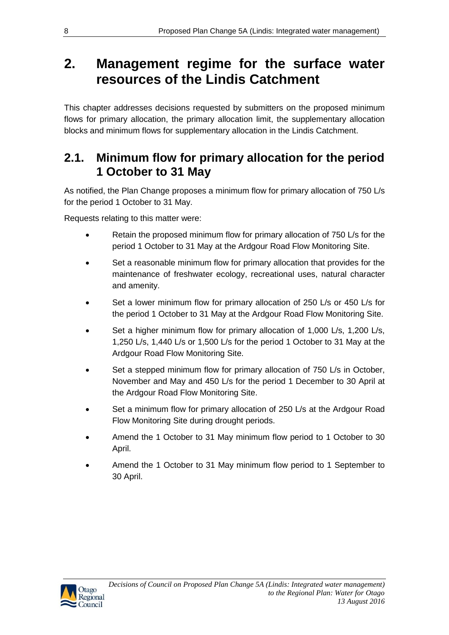# <span id="page-19-0"></span>**2. Management regime for the surface water resources of the Lindis Catchment**

This chapter addresses decisions requested by submitters on the proposed minimum flows for primary allocation, the primary allocation limit, the supplementary allocation blocks and minimum flows for supplementary allocation in the Lindis Catchment.

# <span id="page-19-1"></span>**2.1. Minimum flow for primary allocation for the period 1 October to 31 May**

As notified, the Plan Change proposes a minimum flow for primary allocation of 750 L/s for the period 1 October to 31 May.

Requests relating to this matter were:

- Retain the proposed minimum flow for primary allocation of 750 L/s for the period 1 October to 31 May at the Ardgour Road Flow Monitoring Site.
- Set a reasonable minimum flow for primary allocation that provides for the maintenance of freshwater ecology, recreational uses, natural character and amenity.
- Set a lower minimum flow for primary allocation of 250 L/s or 450 L/s for the period 1 October to 31 May at the Ardgour Road Flow Monitoring Site.
- Set a higher minimum flow for primary allocation of 1,000 L/s, 1,200 L/s, 1,250 L/s, 1,440 L/s or 1,500 L/s for the period 1 October to 31 May at the Ardgour Road Flow Monitoring Site.
- Set a stepped minimum flow for primary allocation of 750 L/s in October, November and May and 450 L/s for the period 1 December to 30 April at the Ardgour Road Flow Monitoring Site.
- Set a minimum flow for primary allocation of 250 L/s at the Ardgour Road Flow Monitoring Site during drought periods.
- Amend the 1 October to 31 May minimum flow period to 1 October to 30 April.
- Amend the 1 October to 31 May minimum flow period to 1 September to 30 April.

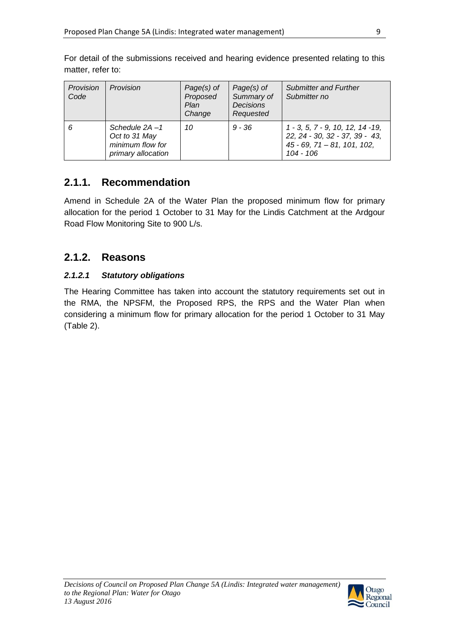| Provision<br>Code | Provision                                                                  | Page(s) of<br>Proposed<br>Plan<br>Change | $Page(s)$ of<br>Summary of<br><b>Decisions</b><br>Requested | <b>Submitter and Further</b><br>Submitter no                                                                                    |
|-------------------|----------------------------------------------------------------------------|------------------------------------------|-------------------------------------------------------------|---------------------------------------------------------------------------------------------------------------------------------|
| 6                 | Schedule $2A-1$<br>Oct to 31 May<br>minimum flow for<br>primary allocation | 10                                       | $9 - 36$                                                    | $1 - 3$ , 5, 7 - 9, 10, 12, 14 -19,<br>22, 24 - 30, 32 - 37, 39 - 43,<br>$45 - 69$ , $71 - 81$ , $101$ , $102$ ,<br>$104 - 106$ |

For detail of the submissions received and hearing evidence presented relating to this matter, refer to:

### **2.1.1. Recommendation**

Amend in Schedule 2A of the Water Plan the proposed minimum flow for primary allocation for the period 1 October to 31 May for the Lindis Catchment at the Ardgour Road Flow Monitoring Site to 900 L/s.

### **2.1.2. Reasons**

### *2.1.2.1 Statutory obligations*

The Hearing Committee has taken into account the statutory requirements set out in the RMA, the NPSFM, the Proposed RPS, the RPS and the Water Plan when considering a minimum flow for primary allocation for the period 1 October to 31 May (Table 2).

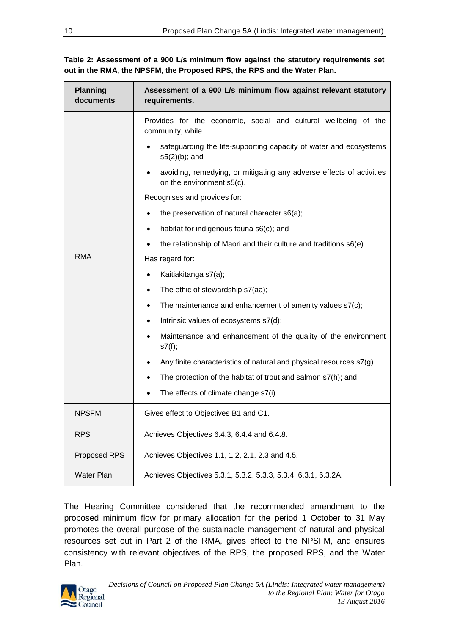| Assessment of a 900 L/s minimum flow against relevant statutory<br><b>Planning</b><br>documents<br>requirements. |                                                                                                        |  |  |  |
|------------------------------------------------------------------------------------------------------------------|--------------------------------------------------------------------------------------------------------|--|--|--|
|                                                                                                                  | Provides for the economic, social and cultural wellbeing of the<br>community, while                    |  |  |  |
|                                                                                                                  | safeguarding the life-supporting capacity of water and ecosystems<br>$\bullet$<br>$s5(2)(b)$ ; and     |  |  |  |
|                                                                                                                  | avoiding, remedying, or mitigating any adverse effects of activities<br>٠<br>on the environment s5(c). |  |  |  |
|                                                                                                                  | Recognises and provides for:                                                                           |  |  |  |
|                                                                                                                  | the preservation of natural character s6(a);                                                           |  |  |  |
|                                                                                                                  | habitat for indigenous fauna s6(c); and<br>٠                                                           |  |  |  |
|                                                                                                                  | the relationship of Maori and their culture and traditions s6(e).                                      |  |  |  |
| <b>RMA</b>                                                                                                       | Has regard for:                                                                                        |  |  |  |
|                                                                                                                  | Kaitiakitanga s7(a);<br>$\bullet$                                                                      |  |  |  |
|                                                                                                                  | The ethic of stewardship s7(aa);<br>٠                                                                  |  |  |  |
|                                                                                                                  | The maintenance and enhancement of amenity values s7(c);                                               |  |  |  |
|                                                                                                                  | Intrinsic values of ecosystems s7(d);                                                                  |  |  |  |
|                                                                                                                  | Maintenance and enhancement of the quality of the environment<br>$s7(f)$ ;                             |  |  |  |
|                                                                                                                  | Any finite characteristics of natural and physical resources s7(g).                                    |  |  |  |
|                                                                                                                  | The protection of the habitat of trout and salmon s7(h); and                                           |  |  |  |
|                                                                                                                  | The effects of climate change s7(i).                                                                   |  |  |  |
| <b>NPSFM</b>                                                                                                     | Gives effect to Objectives B1 and C1.                                                                  |  |  |  |
| <b>RPS</b>                                                                                                       | Achieves Objectives 6.4.3, 6.4.4 and 6.4.8.                                                            |  |  |  |
| Proposed RPS                                                                                                     | Achieves Objectives 1.1, 1.2, 2.1, 2.3 and 4.5.                                                        |  |  |  |
| <b>Water Plan</b>                                                                                                | Achieves Objectives 5.3.1, 5.3.2, 5.3.3, 5.3.4, 6.3.1, 6.3.2A.                                         |  |  |  |

**Table 2: Assessment of a 900 L/s minimum flow against the statutory requirements set out in the RMA, the NPSFM, the Proposed RPS, the RPS and the Water Plan.**

The Hearing Committee considered that the recommended amendment to the proposed minimum flow for primary allocation for the period 1 October to 31 May promotes the overall purpose of the sustainable management of natural and physical resources set out in Part 2 of the RMA, gives effect to the NPSFM, and ensures consistency with relevant objectives of the RPS, the proposed RPS, and the Water Plan.

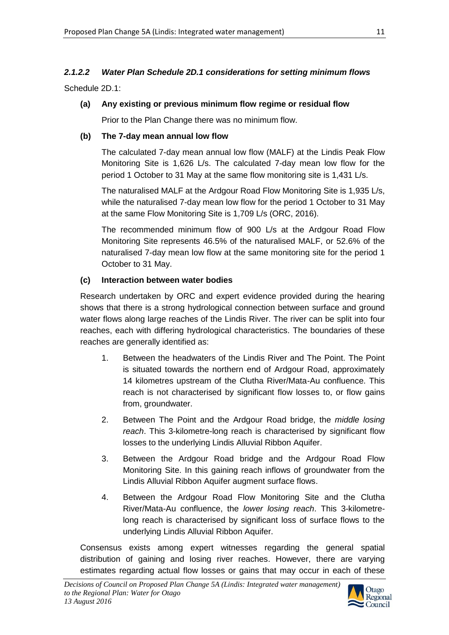### *2.1.2.2 Water Plan Schedule 2D.1 considerations for setting minimum flows*

Schedule 2D.1:

### **(a) Any existing or previous minimum flow regime or residual flow**

Prior to the Plan Change there was no minimum flow.

### **(b) The 7-day mean annual low flow**

The calculated 7-day mean annual low flow (MALF) at the Lindis Peak Flow Monitoring Site is 1,626 L/s. The calculated 7-day mean low flow for the period 1 October to 31 May at the same flow monitoring site is 1,431 L/s.

The naturalised MALF at the Ardgour Road Flow Monitoring Site is 1,935 L/s, while the naturalised 7-day mean low flow for the period 1 October to 31 May at the same Flow Monitoring Site is 1,709 L/s (ORC, 2016).

The recommended minimum flow of 900 L/s at the Ardgour Road Flow Monitoring Site represents 46.5% of the naturalised MALF, or 52.6% of the naturalised 7-day mean low flow at the same monitoring site for the period 1 October to 31 May.

### **(c) Interaction between water bodies**

Research undertaken by ORC and expert evidence provided during the hearing shows that there is a strong hydrological connection between surface and ground water flows along large reaches of the Lindis River. The river can be split into four reaches, each with differing hydrological characteristics. The boundaries of these reaches are generally identified as:

- 1. Between the headwaters of the Lindis River and The Point. The Point is situated towards the northern end of Ardgour Road, approximately 14 kilometres upstream of the Clutha River/Mata-Au confluence. This reach is not characterised by significant flow losses to, or flow gains from, groundwater.
- 2. Between The Point and the Ardgour Road bridge, the *middle losing reach*. This 3-kilometre-long reach is characterised by significant flow losses to the underlying Lindis Alluvial Ribbon Aquifer.
- 3. Between the Ardgour Road bridge and the Ardgour Road Flow Monitoring Site. In this gaining reach inflows of groundwater from the Lindis Alluvial Ribbon Aquifer augment surface flows.
- 4. Between the Ardgour Road Flow Monitoring Site and the Clutha River/Mata-Au confluence, the *lower losing reach*. This 3-kilometrelong reach is characterised by significant loss of surface flows to the underlying Lindis Alluvial Ribbon Aquifer.

Consensus exists among expert witnesses regarding the general spatial distribution of gaining and losing river reaches. However, there are varying estimates regarding actual flow losses or gains that may occur in each of these

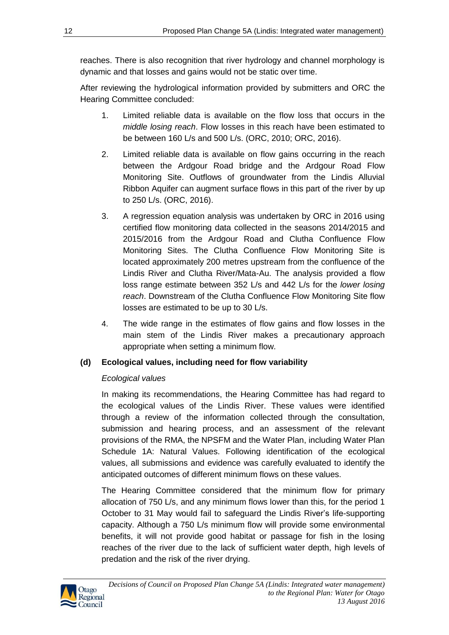reaches. There is also recognition that river hydrology and channel morphology is dynamic and that losses and gains would not be static over time.

After reviewing the hydrological information provided by submitters and ORC the Hearing Committee concluded:

- 1. Limited reliable data is available on the flow loss that occurs in the *middle losing reach*. Flow losses in this reach have been estimated to be between 160 L/s and 500 L/s. (ORC, 2010; ORC, 2016).
- 2. Limited reliable data is available on flow gains occurring in the reach between the Ardgour Road bridge and the Ardgour Road Flow Monitoring Site. Outflows of groundwater from the Lindis Alluvial Ribbon Aquifer can augment surface flows in this part of the river by up to 250 L/s. (ORC, 2016).
- 3. A regression equation analysis was undertaken by ORC in 2016 using certified flow monitoring data collected in the seasons 2014/2015 and 2015/2016 from the Ardgour Road and Clutha Confluence Flow Monitoring Sites. The Clutha Confluence Flow Monitoring Site is located approximately 200 metres upstream from the confluence of the Lindis River and Clutha River/Mata-Au. The analysis provided a flow loss range estimate between 352 L/s and 442 L/s for the *lower losing reach*. Downstream of the Clutha Confluence Flow Monitoring Site flow losses are estimated to be up to 30 L/s.
- 4. The wide range in the estimates of flow gains and flow losses in the main stem of the Lindis River makes a precautionary approach appropriate when setting a minimum flow.

### **(d) Ecological values, including need for flow variability**

### *Ecological values*

In making its recommendations, the Hearing Committee has had regard to the ecological values of the Lindis River. These values were identified through a review of the information collected through the consultation, submission and hearing process, and an assessment of the relevant provisions of the RMA, the NPSFM and the Water Plan, including Water Plan Schedule 1A: Natural Values. Following identification of the ecological values, all submissions and evidence was carefully evaluated to identify the anticipated outcomes of different minimum flows on these values.

The Hearing Committee considered that the minimum flow for primary allocation of 750 L/s, and any minimum flows lower than this, for the period 1 October to 31 May would fail to safeguard the Lindis River's life-supporting capacity. Although a 750 L/s minimum flow will provide some environmental benefits, it will not provide good habitat or passage for fish in the losing reaches of the river due to the lack of sufficient water depth, high levels of predation and the risk of the river drying.

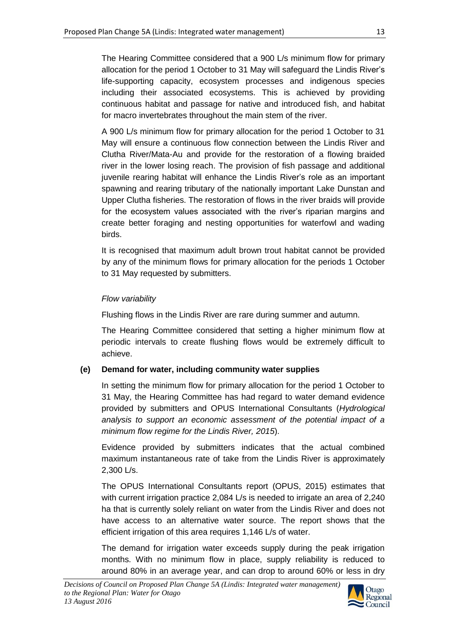The Hearing Committee considered that a 900 L/s minimum flow for primary allocation for the period 1 October to 31 May will safeguard the Lindis River's life-supporting capacity, ecosystem processes and indigenous species including their associated ecosystems. This is achieved by providing continuous habitat and passage for native and introduced fish, and habitat for macro invertebrates throughout the main stem of the river.

A 900 L/s minimum flow for primary allocation for the period 1 October to 31 May will ensure a continuous flow connection between the Lindis River and Clutha River/Mata-Au and provide for the restoration of a flowing braided river in the lower losing reach. The provision of fish passage and additional juvenile rearing habitat will enhance the Lindis River's role as an important spawning and rearing tributary of the nationally important Lake Dunstan and Upper Clutha fisheries. The restoration of flows in the river braids will provide for the ecosystem values associated with the river's riparian margins and create better foraging and nesting opportunities for waterfowl and wading birds.

It is recognised that maximum adult brown trout habitat cannot be provided by any of the minimum flows for primary allocation for the periods 1 October to 31 May requested by submitters.

### *Flow variability*

Flushing flows in the Lindis River are rare during summer and autumn.

The Hearing Committee considered that setting a higher minimum flow at periodic intervals to create flushing flows would be extremely difficult to achieve.

### **(e) Demand for water, including community water supplies**

In setting the minimum flow for primary allocation for the period 1 October to 31 May, the Hearing Committee has had regard to water demand evidence provided by submitters and OPUS International Consultants (*Hydrological analysis to support an economic assessment of the potential impact of a minimum flow regime for the Lindis River, 2015*).

Evidence provided by submitters indicates that the actual combined maximum instantaneous rate of take from the Lindis River is approximately 2,300 L/s.

The OPUS International Consultants report (OPUS, 2015) estimates that with current irrigation practice 2,084 L/s is needed to irrigate an area of 2,240 ha that is currently solely reliant on water from the Lindis River and does not have access to an alternative water source. The report shows that the efficient irrigation of this area requires 1,146 L/s of water.

The demand for irrigation water exceeds supply during the peak irrigation months. With no minimum flow in place, supply reliability is reduced to around 80% in an average year, and can drop to around 60% or less in dry

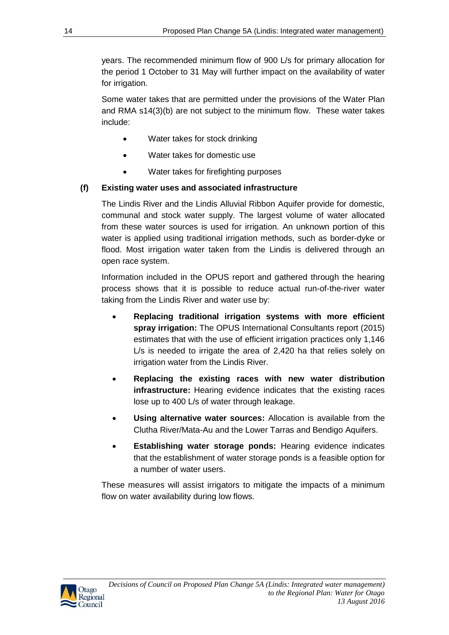years. The recommended minimum flow of 900 L/s for primary allocation for the period 1 October to 31 May will further impact on the availability of water for irrigation.

Some water takes that are permitted under the provisions of the Water Plan and RMA s14(3)(b) are not subject to the minimum flow. These water takes include:

- Water takes for stock drinking
- Water takes for domestic use
- Water takes for firefighting purposes

### **(f) Existing water uses and associated infrastructure**

The Lindis River and the Lindis Alluvial Ribbon Aquifer provide for domestic, communal and stock water supply. The largest volume of water allocated from these water sources is used for irrigation. An unknown portion of this water is applied using traditional irrigation methods, such as border-dyke or flood. Most irrigation water taken from the Lindis is delivered through an open race system.

Information included in the OPUS report and gathered through the hearing process shows that it is possible to reduce actual run-of-the-river water taking from the Lindis River and water use by:

- **Replacing traditional irrigation systems with more efficient spray irrigation:** The OPUS International Consultants report (2015) estimates that with the use of efficient irrigation practices only 1,146 L/s is needed to irrigate the area of 2,420 ha that relies solely on irrigation water from the Lindis River.
- **Replacing the existing races with new water distribution infrastructure:** Hearing evidence indicates that the existing races lose up to 400 L/s of water through leakage.
- **Using alternative water sources:** Allocation is available from the Clutha River/Mata-Au and the Lower Tarras and Bendigo Aquifers.
- **Establishing water storage ponds:** Hearing evidence indicates that the establishment of water storage ponds is a feasible option for a number of water users.

These measures will assist irrigators to mitigate the impacts of a minimum flow on water availability during low flows.

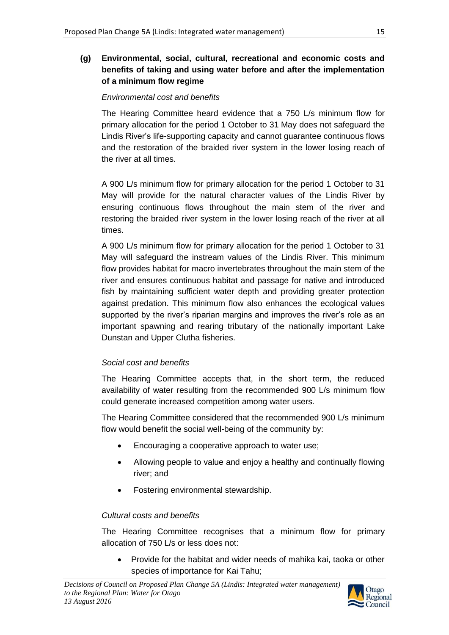### **(g) Environmental, social, cultural, recreational and economic costs and benefits of taking and using water before and after the implementation of a minimum flow regime**

#### *Environmental cost and benefits*

The Hearing Committee heard evidence that a 750 L/s minimum flow for primary allocation for the period 1 October to 31 May does not safeguard the Lindis River's life-supporting capacity and cannot guarantee continuous flows and the restoration of the braided river system in the lower losing reach of the river at all times.

A 900 L/s minimum flow for primary allocation for the period 1 October to 31 May will provide for the natural character values of the Lindis River by ensuring continuous flows throughout the main stem of the river and restoring the braided river system in the lower losing reach of the river at all times.

A 900 L/s minimum flow for primary allocation for the period 1 October to 31 May will safeguard the instream values of the Lindis River. This minimum flow provides habitat for macro invertebrates throughout the main stem of the river and ensures continuous habitat and passage for native and introduced fish by maintaining sufficient water depth and providing greater protection against predation. This minimum flow also enhances the ecological values supported by the river's riparian margins and improves the river's role as an important spawning and rearing tributary of the nationally important Lake Dunstan and Upper Clutha fisheries.

### *Social cost and benefits*

The Hearing Committee accepts that, in the short term, the reduced availability of water resulting from the recommended 900 L/s minimum flow could generate increased competition among water users.

The Hearing Committee considered that the recommended 900 L/s minimum flow would benefit the social well-being of the community by:

- Encouraging a cooperative approach to water use;
- Allowing people to value and enjoy a healthy and continually flowing river; and
- Fostering environmental stewardship.

### *Cultural costs and benefits*

The Hearing Committee recognises that a minimum flow for primary allocation of 750 L/s or less does not:

 Provide for the habitat and wider needs of mahika kai, taoka or other species of importance for Kai Tahu;

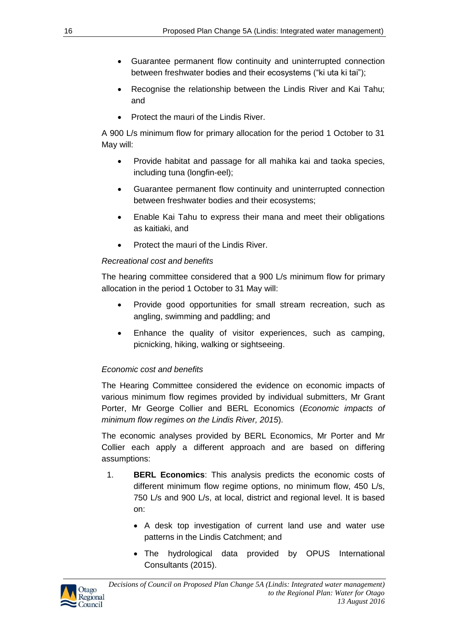- Guarantee permanent flow continuity and uninterrupted connection between freshwater bodies and their ecosystems ("ki uta ki tai");
- Recognise the relationship between the Lindis River and Kai Tahu; and
- Protect the mauri of the Lindis River.

A 900 L/s minimum flow for primary allocation for the period 1 October to 31 May will:

- Provide habitat and passage for all mahika kai and taoka species, including tuna (longfin-eel);
- Guarantee permanent flow continuity and uninterrupted connection between freshwater bodies and their ecosystems;
- Enable Kai Tahu to express their mana and meet their obligations as kaitiaki, and
- Protect the mauri of the Lindis River.

#### *Recreational cost and benefits*

The hearing committee considered that a 900 L/s minimum flow for primary allocation in the period 1 October to 31 May will:

- Provide good opportunities for small stream recreation, such as angling, swimming and paddling; and
- Enhance the quality of visitor experiences, such as camping, picnicking, hiking, walking or sightseeing.

### *Economic cost and benefits*

The Hearing Committee considered the evidence on economic impacts of various minimum flow regimes provided by individual submitters, Mr Grant Porter, Mr George Collier and BERL Economics (*Economic impacts of minimum flow regimes on the Lindis River, 2015*).

The economic analyses provided by BERL Economics, Mr Porter and Mr Collier each apply a different approach and are based on differing assumptions:

- 1. **BERL Economics**: This analysis predicts the economic costs of different minimum flow regime options, no minimum flow, 450 L/s, 750 L/s and 900 L/s, at local, district and regional level. It is based on:
	- A desk top investigation of current land use and water use patterns in the Lindis Catchment; and
	- The hydrological data provided by OPUS International Consultants (2015).

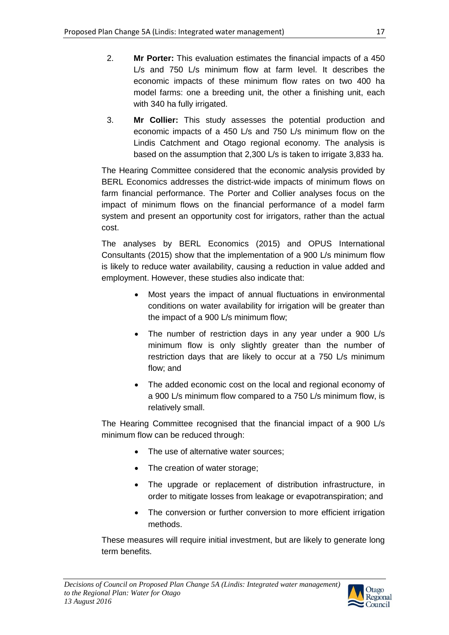- 2. **Mr Porter:** This evaluation estimates the financial impacts of a 450 L/s and 750 L/s minimum flow at farm level. It describes the economic impacts of these minimum flow rates on two 400 ha model farms: one a breeding unit, the other a finishing unit, each with 340 ha fully irrigated.
- 3. **Mr Collier:** This study assesses the potential production and economic impacts of a 450 L/s and 750 L/s minimum flow on the Lindis Catchment and Otago regional economy. The analysis is based on the assumption that 2,300 L/s is taken to irrigate 3,833 ha.

The Hearing Committee considered that the economic analysis provided by BERL Economics addresses the district-wide impacts of minimum flows on farm financial performance. The Porter and Collier analyses focus on the impact of minimum flows on the financial performance of a model farm system and present an opportunity cost for irrigators, rather than the actual cost.

The analyses by BERL Economics (2015) and OPUS International Consultants (2015) show that the implementation of a 900 L/s minimum flow is likely to reduce water availability, causing a reduction in value added and employment. However, these studies also indicate that:

- Most years the impact of annual fluctuations in environmental conditions on water availability for irrigation will be greater than the impact of a 900 L/s minimum flow;
- The number of restriction days in any year under a 900 L/s minimum flow is only slightly greater than the number of restriction days that are likely to occur at a 750 L/s minimum flow; and
- The added economic cost on the local and regional economy of a 900 L/s minimum flow compared to a 750 L/s minimum flow, is relatively small.

The Hearing Committee recognised that the financial impact of a 900 L/s minimum flow can be reduced through:

- The use of alternative water sources:
- The creation of water storage;
- The upgrade or replacement of distribution infrastructure, in order to mitigate losses from leakage or evapotranspiration; and
- The conversion or further conversion to more efficient irrigation methods.

These measures will require initial investment, but are likely to generate long term benefits.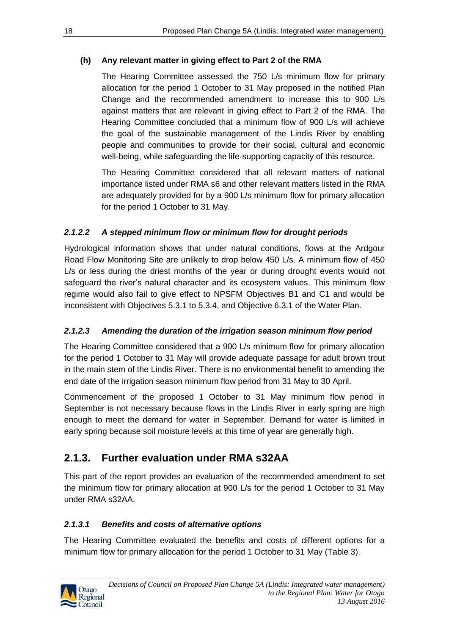### **(h) Any relevant matter in giving effect to Part 2 of the RMA**

The Hearing Committee assessed the 750 L/s minimum flow for primary allocation for the period 1 October to 31 May proposed in the notified Plan Change and the recommended amendment to increase this to 900 L/s against matters that are relevant in giving effect to Part 2 of the RMA. The Hearing Committee concluded that a minimum flow of 900 L/s will achieve the goal of the sustainable management of the Lindis River by enabling people and communities to provide for their social, cultural and economic well-being, while safeguarding the life-supporting capacity of this resource.

The Hearing Committee considered that all relevant matters of national importance listed under RMA s6 and other relevant matters listed in the RMA are adequately provided for by a 900 L/s minimum flow for primary allocation for the period 1 October to 31 May.

### *2.1.2.2 A stepped minimum flow or minimum flow for drought periods*

Hydrological information shows that under natural conditions, flows at the Ardgour Road Flow Monitoring Site are unlikely to drop below 450 L/s. A minimum flow of 450 L/s or less during the driest months of the year or during drought events would not safeguard the river's natural character and its ecosystem values. This minimum flow regime would also fail to give effect to NPSFM Objectives B1 and C1 and would be inconsistent with Objectives 5.3.1 to 5.3.4, and Objective 6.3.1 of the Water Plan.

### *2.1.2.3 Amending the duration of the irrigation season minimum flow period*

The Hearing Committee considered that a 900 L/s minimum flow for primary allocation for the period 1 October to 31 May will provide adequate passage for adult brown trout in the main stem of the Lindis River. There is no environmental benefit to amending the end date of the irrigation season minimum flow period from 31 May to 30 April.

Commencement of the proposed 1 October to 31 May minimum flow period in September is not necessary because flows in the Lindis River in early spring are high enough to meet the demand for water in September. Demand for water is limited in early spring because soil moisture levels at this time of year are generally high.

# **2.1.3. Further evaluation under RMA s32AA**

This part of the report provides an evaluation of the recommended amendment to set the minimum flow for primary allocation at 900 L/s for the period 1 October to 31 May under RMA s32AA.

### *2.1.3.1 Benefits and costs of alternative options*

The Hearing Committee evaluated the benefits and costs of different options for a minimum flow for primary allocation for the period 1 October to 31 May (Table 3).

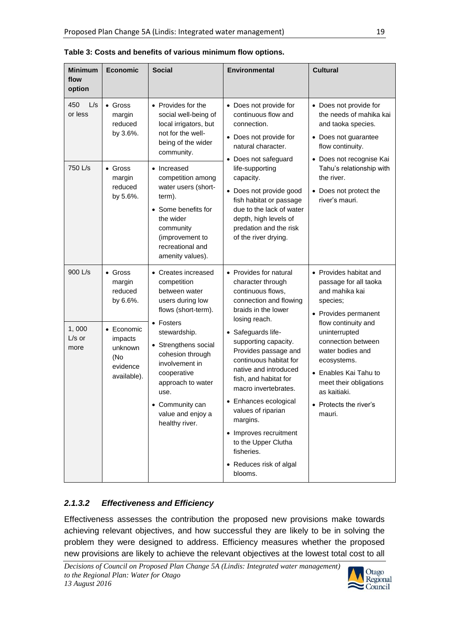| ۰.            |  |
|---------------|--|
| . .           |  |
| ۰,<br>×<br>۰, |  |

| Table 3: Costs and benefits of various minimum flow options. |  |  |  |
|--------------------------------------------------------------|--|--|--|
|                                                              |  |  |  |

| <b>Minimum</b><br>flow    | <b>Economic</b>                                                    | <b>Social</b>                                                                                                                                                                                 | <b>Environmental</b>                                                                                                                                                                                                                                                                                                                   | <b>Cultural</b>                                                                                                                                                                                      |                                                                                                       |                                                   |
|---------------------------|--------------------------------------------------------------------|-----------------------------------------------------------------------------------------------------------------------------------------------------------------------------------------------|----------------------------------------------------------------------------------------------------------------------------------------------------------------------------------------------------------------------------------------------------------------------------------------------------------------------------------------|------------------------------------------------------------------------------------------------------------------------------------------------------------------------------------------------------|-------------------------------------------------------------------------------------------------------|---------------------------------------------------|
| option                    |                                                                    |                                                                                                                                                                                               |                                                                                                                                                                                                                                                                                                                                        |                                                                                                                                                                                                      |                                                                                                       |                                                   |
| 450<br>L/s<br>or less     | $\bullet$ Gross<br>margin<br>reduced<br>by 3.6%.                   | • Provides for the<br>social well-being of<br>local irrigators, but<br>not for the well-<br>being of the wider<br>community.                                                                  | • Does not provide for<br>continuous flow and<br>connection.<br>• Does not provide for<br>natural character.<br>• Does not safeguard<br>life-supporting<br>capacity.<br>• Does not provide good<br>fish habitat or passage<br>due to the lack of water<br>depth, high levels of<br>predation and the risk<br>of the river drying.      | and taoka species.<br>• Does not guarantee<br>flow continuity.<br>• Does not recognise Kai<br>the river.<br>• Does not protect the<br>river's mauri.                                                 |                                                                                                       | • Does not provide for<br>the needs of mahika kai |
| 750 L/s                   | • Gross<br>margin<br>reduced<br>by 5.6%.                           | • Increased<br>competition among<br>water users (short-<br>term).<br>• Some benefits for<br>the wider<br>community<br>(improvement to<br>recreational and<br>amenity values).                 |                                                                                                                                                                                                                                                                                                                                        |                                                                                                                                                                                                      | Tahu's relationship with                                                                              |                                                   |
| 900 L/s                   | • Gross<br>margin<br>reduced<br>by 6.6%.                           | • Creates increased<br>competition<br>between water<br>users during low<br>flows (short-term).                                                                                                |                                                                                                                                                                                                                                                                                                                                        | • Provides for natural<br>character through<br>continuous flows,<br>connection and flowing<br>braids in the lower<br>losing reach.                                                                   | • Provides habitat and<br>passage for all taoka<br>and mahika kai<br>species;<br>• Provides permanent |                                                   |
| 1,000<br>$L/s$ or<br>more | • Economic<br>impacts<br>unknown<br>(No<br>evidence<br>available). | • Fosters<br>stewardship.<br>• Strengthens social<br>cohesion through<br>involvement in<br>cooperative<br>approach to water<br>use.<br>• Community can<br>value and enjoy a<br>healthy river. | • Safeguards life-<br>supporting capacity.<br>Provides passage and<br>continuous habitat for<br>native and introduced<br>fish, and habitat for<br>macro invertebrates.<br>• Enhances ecological<br>values of riparian<br>margins.<br>• Improves recruitment<br>to the Upper Clutha<br>fisheries.<br>• Reduces risk of algal<br>blooms. | flow continuity and<br>uninterrupted<br>connection between<br>water bodies and<br>ecosystems.<br>• Enables Kai Tahu to<br>meet their obligations<br>as kaitiaki.<br>• Protects the river's<br>mauri. |                                                                                                       |                                                   |

### *2.1.3.2 Effectiveness and Efficiency*

Effectiveness assesses the contribution the proposed new provisions make towards achieving relevant objectives, and how successful they are likely to be in solving the problem they were designed to address. Efficiency measures whether the proposed new provisions are likely to achieve the relevant objectives at the lowest total cost to all

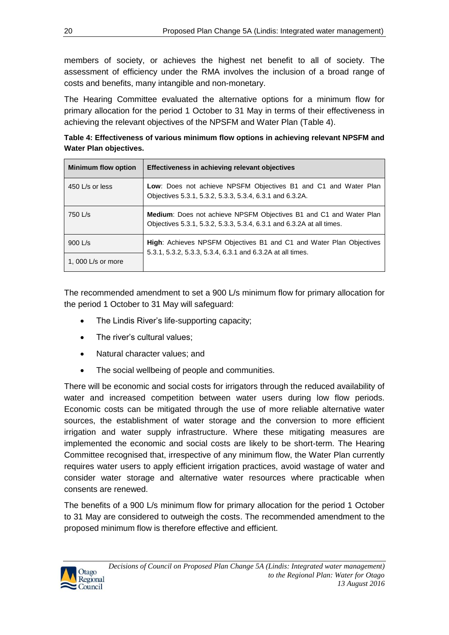members of society, or achieves the highest net benefit to all of society. The assessment of efficiency under the RMA involves the inclusion of a broad range of costs and benefits, many intangible and non-monetary.

The Hearing Committee evaluated the alternative options for a minimum flow for primary allocation for the period 1 October to 31 May in terms of their effectiveness in achieving the relevant objectives of the NPSFM and Water Plan (Table 4).

**Table 4: Effectiveness of various minimum flow options in achieving relevant NPSFM and Water Plan objectives.** 

| <b>Minimum flow option</b> | Effectiveness in achieving relevant objectives                                                                                                     |
|----------------------------|----------------------------------------------------------------------------------------------------------------------------------------------------|
| 450 L/s or less            | Low: Does not achieve NPSFM Objectives B1 and C1 and Water Plan<br>Objectives 5.3.1, 5.3.2, 5.3.3, 5.3.4, 6.3.1 and 6.3.2A.                        |
| 750 L/s                    | <b>Medium:</b> Does not achieve NPSFM Objectives B1 and C1 and Water Plan<br>Objectives 5.3.1, 5.3.2, 5.3.3, 5.3.4, 6.3.1 and 6.3.2A at all times. |
| 900 $L/s$                  | <b>High:</b> Achieves NPSFM Objectives B1 and C1 and Water Plan Objectives<br>5.3.1, 5.3.2, 5.3.3, 5.3.4, 6.3.1 and 6.3.2A at all times.           |
| 1, 000 $L/s$ or more       |                                                                                                                                                    |

The recommended amendment to set a 900 L/s minimum flow for primary allocation for the period 1 October to 31 May will safeguard:

- The Lindis River's life-supporting capacity;
- The river's cultural values:
- Natural character values; and
- The social wellbeing of people and communities.

There will be economic and social costs for irrigators through the reduced availability of water and increased competition between water users during low flow periods. Economic costs can be mitigated through the use of more reliable alternative water sources, the establishment of water storage and the conversion to more efficient irrigation and water supply infrastructure. Where these mitigating measures are implemented the economic and social costs are likely to be short-term. The Hearing Committee recognised that, irrespective of any minimum flow, the Water Plan currently requires water users to apply efficient irrigation practices, avoid wastage of water and consider water storage and alternative water resources where practicable when consents are renewed.

The benefits of a 900 L/s minimum flow for primary allocation for the period 1 October to 31 May are considered to outweigh the costs. The recommended amendment to the proposed minimum flow is therefore effective and efficient.

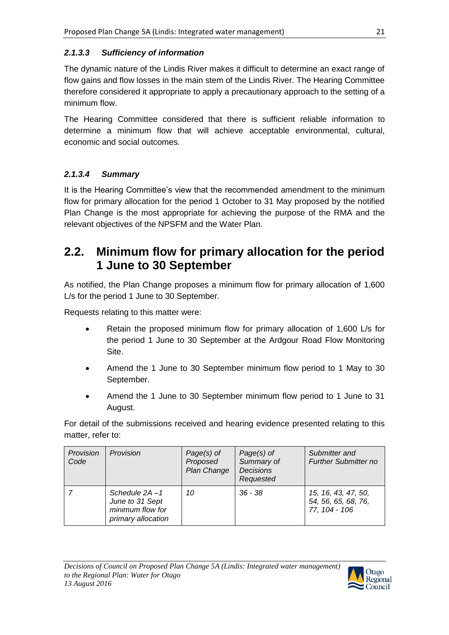### *2.1.3.3 Sufficiency of information*

The dynamic nature of the Lindis River makes it difficult to determine an exact range of flow gains and flow losses in the main stem of the Lindis River. The Hearing Committee therefore considered it appropriate to apply a precautionary approach to the setting of a minimum flow.

The Hearing Committee considered that there is sufficient reliable information to determine a minimum flow that will achieve acceptable environmental, cultural, economic and social outcomes.

### *2.1.3.4 Summary*

It is the Hearing Committee's view that the recommended amendment to the minimum flow for primary allocation for the period 1 October to 31 May proposed by the notified Plan Change is the most appropriate for achieving the purpose of the RMA and the relevant objectives of the NPSFM and the Water Plan.

# <span id="page-32-0"></span>**2.2. Minimum flow for primary allocation for the period 1 June to 30 September**

As notified, the Plan Change proposes a minimum flow for primary allocation of 1,600 L/s for the period 1 June to 30 September.

Requests relating to this matter were:

- Retain the proposed minimum flow for primary allocation of 1,600 L/s for the period 1 June to 30 September at the Ardgour Road Flow Monitoring Site.
- Amend the 1 June to 30 September minimum flow period to 1 May to 30 September.
- Amend the 1 June to 30 September minimum flow period to 1 June to 31 August.

For detail of the submissions received and hearing evidence presented relating to this matter, refer to:

| Provision<br>Code | Provision                                                                    | $Page(s)$ of<br>Proposed<br>Plan Change | Page(s) of<br>Summary of<br><b>Decisions</b><br>Requested | Submitter and<br><b>Further Submitter no</b>                |
|-------------------|------------------------------------------------------------------------------|-----------------------------------------|-----------------------------------------------------------|-------------------------------------------------------------|
|                   | Schedule $2A-1$<br>June to 31 Sept<br>minimum flow for<br>primary allocation | 10                                      | $36 - 38$                                                 | 15, 16, 43, 47, 50,<br>54, 56, 65, 68, 76,<br>77, 104 - 106 |

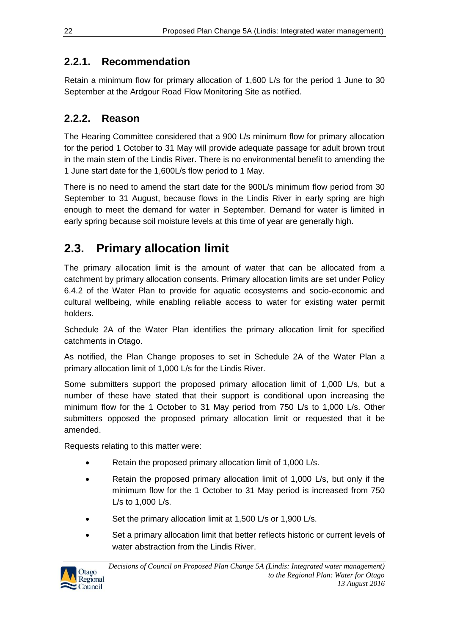## **2.2.1. Recommendation**

Retain a minimum flow for primary allocation of 1,600 L/s for the period 1 June to 30 September at the Ardgour Road Flow Monitoring Site as notified.

# **2.2.2. Reason**

The Hearing Committee considered that a 900 L/s minimum flow for primary allocation for the period 1 October to 31 May will provide adequate passage for adult brown trout in the main stem of the Lindis River. There is no environmental benefit to amending the 1 June start date for the 1,600L/s flow period to 1 May.

There is no need to amend the start date for the 900L/s minimum flow period from 30 September to 31 August, because flows in the Lindis River in early spring are high enough to meet the demand for water in September. Demand for water is limited in early spring because soil moisture levels at this time of year are generally high.

# <span id="page-33-0"></span>**2.3. Primary allocation limit**

The primary allocation limit is the amount of water that can be allocated from a catchment by primary allocation consents. Primary allocation limits are set under Policy 6.4.2 of the Water Plan to provide for aquatic ecosystems and socio-economic and cultural wellbeing, while enabling reliable access to water for existing water permit holders.

Schedule 2A of the Water Plan identifies the primary allocation limit for specified catchments in Otago.

As notified, the Plan Change proposes to set in Schedule 2A of the Water Plan a primary allocation limit of 1,000 L/s for the Lindis River.

Some submitters support the proposed primary allocation limit of 1,000 L/s, but a number of these have stated that their support is conditional upon increasing the minimum flow for the 1 October to 31 May period from 750 L/s to 1,000 L/s. Other submitters opposed the proposed primary allocation limit or requested that it be amended.

Requests relating to this matter were:

- Retain the proposed primary allocation limit of 1,000 L/s.
- Retain the proposed primary allocation limit of 1,000 L/s, but only if the minimum flow for the 1 October to 31 May period is increased from 750 L/s to 1,000 L/s.
- Set the primary allocation limit at 1,500 L/s or 1,900 L/s.
- Set a primary allocation limit that better reflects historic or current levels of water abstraction from the Lindis River.

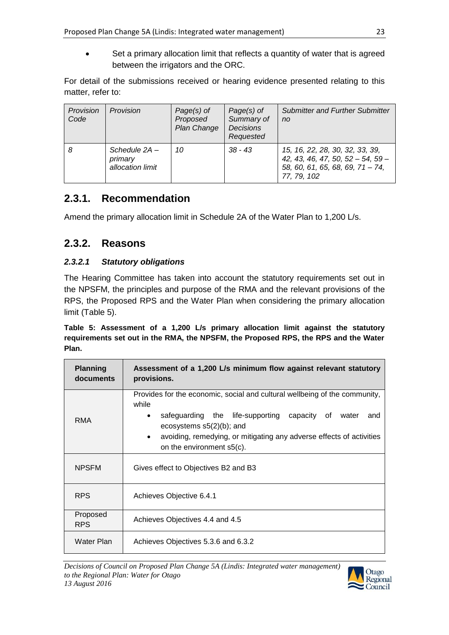Set a primary allocation limit that reflects a quantity of water that is agreed between the irrigators and the ORC.

For detail of the submissions received or hearing evidence presented relating to this matter, refer to:

| Provision<br>Code | Provision                                   | Page(s) of<br>Proposed<br>Plan Change | Page(s) of<br>Summary of<br><b>Decisions</b><br>Requested | <b>Submitter and Further Submitter</b><br>no                                                                               |
|-------------------|---------------------------------------------|---------------------------------------|-----------------------------------------------------------|----------------------------------------------------------------------------------------------------------------------------|
| -8                | Schedule 2A-<br>primary<br>allocation limit | 10                                    | $38 - 43$                                                 | 15, 16, 22, 28, 30, 32, 33, 39,<br>42, 43, 46, 47, 50, $52 - 54$ , 59 -<br>58, 60, 61, 65, 68, 69, 71 - 74,<br>77, 79, 102 |

### **2.3.1. Recommendation**

Amend the primary allocation limit in Schedule 2A of the Water Plan to 1,200 L/s.

### **2.3.2. Reasons**

### *2.3.2.1 Statutory obligations*

The Hearing Committee has taken into account the statutory requirements set out in the NPSFM, the principles and purpose of the RMA and the relevant provisions of the RPS, the Proposed RPS and the Water Plan when considering the primary allocation limit (Table 5).

**Table 5: Assessment of a 1,200 L/s primary allocation limit against the statutory requirements set out in the RMA, the NPSFM, the Proposed RPS, the RPS and the Water Plan.**

| <b>Planning</b><br><b>documents</b>                                                                             | Assessment of a 1,200 L/s minimum flow against relevant statutory<br>provisions.                               |  |  |  |  |
|-----------------------------------------------------------------------------------------------------------------|----------------------------------------------------------------------------------------------------------------|--|--|--|--|
|                                                                                                                 | Provides for the economic, social and cultural wellbeing of the community,<br>while                            |  |  |  |  |
| safeguarding the life-supporting<br>capacity of water<br>$\bullet$<br><b>RMA</b><br>ecosystems $s5(2)(b)$ ; and |                                                                                                                |  |  |  |  |
|                                                                                                                 | avoiding, remedying, or mitigating any adverse effects of activities<br>$\bullet$<br>on the environment s5(c). |  |  |  |  |
| <b>NPSFM</b>                                                                                                    | Gives effect to Objectives B2 and B3                                                                           |  |  |  |  |
| <b>RPS</b>                                                                                                      | Achieves Objective 6.4.1                                                                                       |  |  |  |  |
| Proposed<br>RPS                                                                                                 | Achieves Objectives 4.4 and 4.5                                                                                |  |  |  |  |
| Water Plan                                                                                                      | Achieves Objectives 5.3.6 and 6.3.2                                                                            |  |  |  |  |

*Decisions of Council on Proposed Plan Change 5A (Lindis: Integrated water management) to the Regional Plan: Water for Otago 13 August 2016*

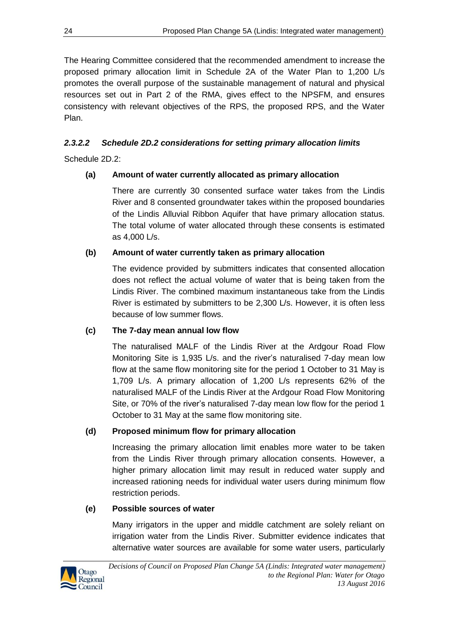The Hearing Committee considered that the recommended amendment to increase the proposed primary allocation limit in Schedule 2A of the Water Plan to 1,200 L/s promotes the overall purpose of the sustainable management of natural and physical resources set out in Part 2 of the RMA, gives effect to the NPSFM, and ensures consistency with relevant objectives of the RPS, the proposed RPS, and the Water Plan.

### *2.3.2.2 Schedule 2D.2 considerations for setting primary allocation limits*

Schedule 2D.2:

### **(a) Amount of water currently allocated as primary allocation**

There are currently 30 consented surface water takes from the Lindis River and 8 consented groundwater takes within the proposed boundaries of the Lindis Alluvial Ribbon Aquifer that have primary allocation status. The total volume of water allocated through these consents is estimated as 4,000 L/s.

### **(b) Amount of water currently taken as primary allocation**

The evidence provided by submitters indicates that consented allocation does not reflect the actual volume of water that is being taken from the Lindis River. The combined maximum instantaneous take from the Lindis River is estimated by submitters to be 2,300 L/s. However, it is often less because of low summer flows.

### **(c) The 7-day mean annual low flow**

The naturalised MALF of the Lindis River at the Ardgour Road Flow Monitoring Site is 1,935 L/s. and the river's naturalised 7-day mean low flow at the same flow monitoring site for the period 1 October to 31 May is 1,709 L/s. A primary allocation of 1,200 L/s represents 62% of the naturalised MALF of the Lindis River at the Ardgour Road Flow Monitoring Site, or 70% of the river's naturalised 7-day mean low flow for the period 1 October to 31 May at the same flow monitoring site.

### **(d) Proposed minimum flow for primary allocation**

Increasing the primary allocation limit enables more water to be taken from the Lindis River through primary allocation consents. However, a higher primary allocation limit may result in reduced water supply and increased rationing needs for individual water users during minimum flow restriction periods.

### **(e) Possible sources of water**

Many irrigators in the upper and middle catchment are solely reliant on irrigation water from the Lindis River. Submitter evidence indicates that alternative water sources are available for some water users, particularly

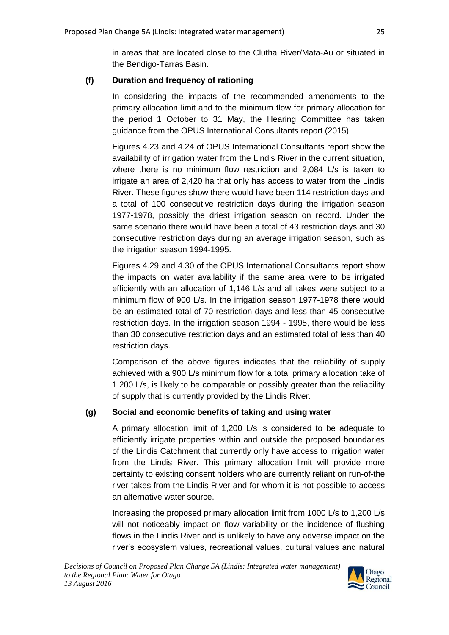in areas that are located close to the Clutha River/Mata-Au or situated in the Bendigo-Tarras Basin.

### **(f) Duration and frequency of rationing**

In considering the impacts of the recommended amendments to the primary allocation limit and to the minimum flow for primary allocation for the period 1 October to 31 May, the Hearing Committee has taken guidance from the OPUS International Consultants report (2015).

Figures 4.23 and 4.24 of OPUS International Consultants report show the availability of irrigation water from the Lindis River in the current situation, where there is no minimum flow restriction and 2,084 L/s is taken to irrigate an area of 2,420 ha that only has access to water from the Lindis River. These figures show there would have been 114 restriction days and a total of 100 consecutive restriction days during the irrigation season 1977-1978, possibly the driest irrigation season on record. Under the same scenario there would have been a total of 43 restriction days and 30 consecutive restriction days during an average irrigation season, such as the irrigation season 1994-1995.

Figures 4.29 and 4.30 of the OPUS International Consultants report show the impacts on water availability if the same area were to be irrigated efficiently with an allocation of 1,146 L/s and all takes were subject to a minimum flow of 900 L/s. In the irrigation season 1977-1978 there would be an estimated total of 70 restriction days and less than 45 consecutive restriction days. In the irrigation season 1994 - 1995, there would be less than 30 consecutive restriction days and an estimated total of less than 40 restriction days.

Comparison of the above figures indicates that the reliability of supply achieved with a 900 L/s minimum flow for a total primary allocation take of 1,200 L/s, is likely to be comparable or possibly greater than the reliability of supply that is currently provided by the Lindis River.

### **(g) Social and economic benefits of taking and using water**

A primary allocation limit of 1,200 L/s is considered to be adequate to efficiently irrigate properties within and outside the proposed boundaries of the Lindis Catchment that currently only have access to irrigation water from the Lindis River. This primary allocation limit will provide more certainty to existing consent holders who are currently reliant on run-of-the river takes from the Lindis River and for whom it is not possible to access an alternative water source.

Increasing the proposed primary allocation limit from 1000 L/s to 1,200 L/s will not noticeably impact on flow variability or the incidence of flushing flows in the Lindis River and is unlikely to have any adverse impact on the river's ecosystem values, recreational values, cultural values and natural

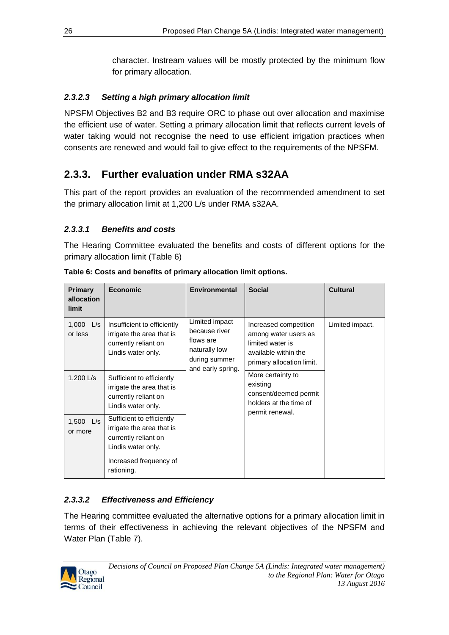character. Instream values will be mostly protected by the minimum flow for primary allocation.

### *2.3.2.3 Setting a high primary allocation limit*

NPSFM Objectives B2 and B3 require ORC to phase out over allocation and maximise the efficient use of water. Setting a primary allocation limit that reflects current levels of water taking would not recognise the need to use efficient irrigation practices when consents are renewed and would fail to give effect to the requirements of the NPSFM.

# **2.3.3. Further evaluation under RMA s32AA**

This part of the report provides an evaluation of the recommended amendment to set the primary allocation limit at 1,200 L/s under RMA s32AA.

### *2.3.3.1 Benefits and costs*

The Hearing Committee evaluated the benefits and costs of different options for the primary allocation limit (Table 6)

| <b>Primary</b><br>allocation<br><b>limit</b> | <b>Economic</b>                                                                                        | <b>Environmental</b>                                                                                | <b>Social</b>                                                                                                          | <b>Cultural</b> |
|----------------------------------------------|--------------------------------------------------------------------------------------------------------|-----------------------------------------------------------------------------------------------------|------------------------------------------------------------------------------------------------------------------------|-----------------|
| 1,000 $L/s$<br>or less                       | Insufficient to efficiently<br>irrigate the area that is<br>currently reliant on<br>Lindis water only. | Limited impact<br>because river<br>flows are<br>naturally low<br>during summer<br>and early spring. | Increased competition<br>among water users as<br>limited water is<br>available within the<br>primary allocation limit. | Limited impact. |
| 1,200 $L/s$                                  | Sufficient to efficiently<br>irrigate the area that is<br>currently reliant on<br>Lindis water only.   |                                                                                                     | More certainty to<br>existing<br>consent/deemed permit<br>holders at the time of<br>permit renewal.                    |                 |
| 1,500 L/s<br>or more                         | Sufficient to efficiently<br>irrigate the area that is<br>currently reliant on<br>Lindis water only.   |                                                                                                     |                                                                                                                        |                 |
|                                              | Increased frequency of<br>rationing.                                                                   |                                                                                                     |                                                                                                                        |                 |

**Table 6: Costs and benefits of primary allocation limit options.** 

### *2.3.3.2 Effectiveness and Efficiency*

The Hearing committee evaluated the alternative options for a primary allocation limit in terms of their effectiveness in achieving the relevant objectives of the NPSFM and Water Plan (Table 7).

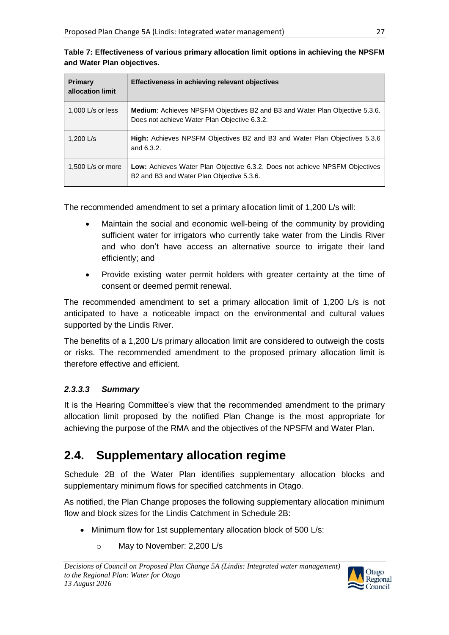| Primary<br>allocation limit | Effectiveness in achieving relevant objectives                                                                                                          |
|-----------------------------|---------------------------------------------------------------------------------------------------------------------------------------------------------|
| 1,000 $L/s$ or less         | Medium: Achieves NPSFM Objectives B2 and B3 and Water Plan Objective 5.3.6.<br>Does not achieve Water Plan Objective 6.3.2.                             |
| 1,200 $L/s$                 | High: Achieves NPSFM Objectives B2 and B3 and Water Plan Objectives 5.3.6<br>and 6.3.2.                                                                 |
| 1,500 $L/s$ or more         | <b>Low:</b> Achieves Water Plan Objective 6.3.2. Does not achieve NPSFM Objectives<br>B <sub>2</sub> and B <sub>3</sub> and Water Plan Objective 5.3.6. |

**Table 7: Effectiveness of various primary allocation limit options in achieving the NPSFM and Water Plan objectives.** 

The recommended amendment to set a primary allocation limit of 1,200 L/s will:

- Maintain the social and economic well-being of the community by providing sufficient water for irrigators who currently take water from the Lindis River and who don't have access an alternative source to irrigate their land efficiently; and
- Provide existing water permit holders with greater certainty at the time of consent or deemed permit renewal.

The recommended amendment to set a primary allocation limit of 1,200 L/s is not anticipated to have a noticeable impact on the environmental and cultural values supported by the Lindis River.

The benefits of a 1,200 L/s primary allocation limit are considered to outweigh the costs or risks. The recommended amendment to the proposed primary allocation limit is therefore effective and efficient.

### *2.3.3.3 Summary*

It is the Hearing Committee's view that the recommended amendment to the primary allocation limit proposed by the notified Plan Change is the most appropriate for achieving the purpose of the RMA and the objectives of the NPSFM and Water Plan.

# <span id="page-38-0"></span>**2.4. Supplementary allocation regime**

Schedule 2B of the Water Plan identifies supplementary allocation blocks and supplementary minimum flows for specified catchments in Otago.

As notified, the Plan Change proposes the following supplementary allocation minimum flow and block sizes for the Lindis Catchment in Schedule 2B:

- Minimum flow for 1st supplementary allocation block of 500 L/s:
	- o May to November: 2,200 L/s

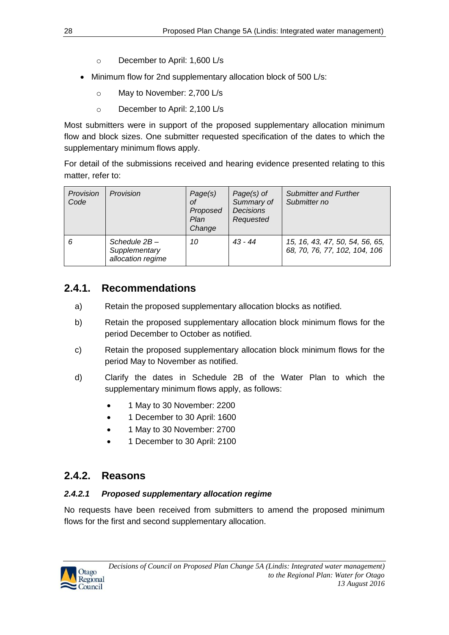- o December to April: 1,600 L/s
- Minimum flow for 2nd supplementary allocation block of 500 L/s:
	- o May to November: 2,700 L/s
	- o December to April: 2,100 L/s

Most submitters were in support of the proposed supplementary allocation minimum flow and block sizes. One submitter requested specification of the dates to which the supplementary minimum flows apply.

For detail of the submissions received and hearing evidence presented relating to this matter, refer to:

| Provision<br>Code | Provision                                             | Page(s)<br>οf<br>Proposed<br>Plan<br>Change | Page(s) of<br>Summary of<br><b>Decisions</b><br>Requested | <b>Submitter and Further</b><br>Submitter no                     |
|-------------------|-------------------------------------------------------|---------------------------------------------|-----------------------------------------------------------|------------------------------------------------------------------|
| 6                 | Schedule $2B -$<br>Supplementary<br>allocation regime | 10                                          | $43 - 44$                                                 | 15, 16, 43, 47, 50, 54, 56, 65,<br>68, 70, 76, 77, 102, 104, 106 |

### **2.4.1. Recommendations**

- a) Retain the proposed supplementary allocation blocks as notified.
- b) Retain the proposed supplementary allocation block minimum flows for the period December to October as notified.
- c) Retain the proposed supplementary allocation block minimum flows for the period May to November as notified.
- d) Clarify the dates in Schedule 2B of the Water Plan to which the supplementary minimum flows apply, as follows:
	- 1 May to 30 November: 2200
	- 1 December to 30 April: 1600
	- 1 May to 30 November: 2700
	- 1 December to 30 April: 2100

### **2.4.2. Reasons**

### *2.4.2.1 Proposed supplementary allocation regime*

No requests have been received from submitters to amend the proposed minimum flows for the first and second supplementary allocation.

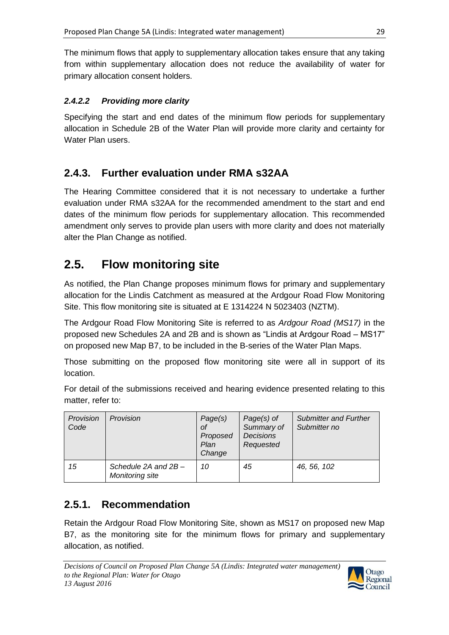The minimum flows that apply to supplementary allocation takes ensure that any taking from within supplementary allocation does not reduce the availability of water for primary allocation consent holders.

### *2.4.2.2 Providing more clarity*

Specifying the start and end dates of the minimum flow periods for supplementary allocation in Schedule 2B of the Water Plan will provide more clarity and certainty for Water Plan users.

# **2.4.3. Further evaluation under RMA s32AA**

The Hearing Committee considered that it is not necessary to undertake a further evaluation under RMA s32AA for the recommended amendment to the start and end dates of the minimum flow periods for supplementary allocation. This recommended amendment only serves to provide plan users with more clarity and does not materially alter the Plan Change as notified.

# <span id="page-40-0"></span>**2.5. Flow monitoring site**

As notified, the Plan Change proposes minimum flows for primary and supplementary allocation for the Lindis Catchment as measured at the Ardgour Road Flow Monitoring Site. This flow monitoring site is situated at E 1314224 N 5023403 (NZTM).

The Ardgour Road Flow Monitoring Site is referred to as *Ardgour Road (MS17)* in the proposed new Schedules 2A and 2B and is shown as "Lindis at Ardgour Road – MS17" on proposed new Map B7, to be included in the B-series of the Water Plan Maps.

Those submitting on the proposed flow monitoring site were all in support of its location.

For detail of the submissions received and hearing evidence presented relating to this matter, refer to:

| Provision<br>Code | Provision                                 | Page(s)<br>Οf<br>Proposed<br>Plan<br>Change | $Page(s)$ of<br>Summary of<br><b>Decisions</b><br>Requested | <b>Submitter and Further</b><br>Submitter no |
|-------------------|-------------------------------------------|---------------------------------------------|-------------------------------------------------------------|----------------------------------------------|
| 15                | Schedule 2A and $2B -$<br>Monitoring site | 10                                          | 45                                                          | 46, 56, 102                                  |

# **2.5.1. Recommendation**

Retain the Ardgour Road Flow Monitoring Site, shown as MS17 on proposed new Map B7, as the monitoring site for the minimum flows for primary and supplementary allocation, as notified.

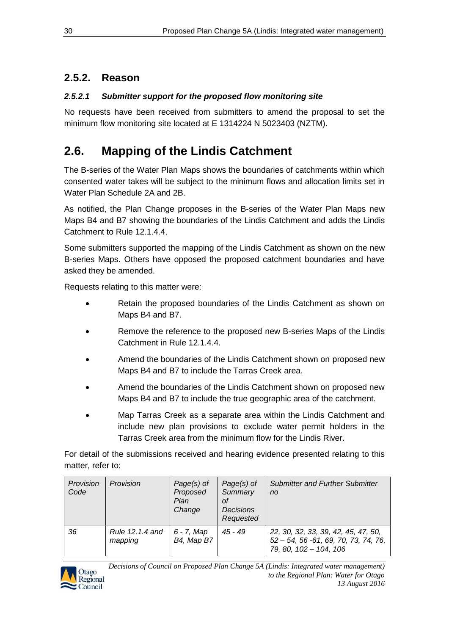# **2.5.2. Reason**

### *2.5.2.1 Submitter support for the proposed flow monitoring site*

No requests have been received from submitters to amend the proposal to set the minimum flow monitoring site located at E 1314224 N 5023403 (NZTM).

# <span id="page-41-0"></span>**2.6. Mapping of the Lindis Catchment**

The B-series of the Water Plan Maps shows the boundaries of catchments within which consented water takes will be subject to the minimum flows and allocation limits set in Water Plan Schedule 2A and 2B.

As notified, the Plan Change proposes in the B-series of the Water Plan Maps new Maps B4 and B7 showing the boundaries of the Lindis Catchment and adds the Lindis Catchment to Rule 12.1.4.4.

Some submitters supported the mapping of the Lindis Catchment as shown on the new B-series Maps. Others have opposed the proposed catchment boundaries and have asked they be amended.

Requests relating to this matter were:

- Retain the proposed boundaries of the Lindis Catchment as shown on Maps B4 and B7.
- Remove the reference to the proposed new B-series Maps of the Lindis Catchment in Rule 12.1.4.4.
- Amend the boundaries of the Lindis Catchment shown on proposed new Maps B4 and B7 to include the Tarras Creek area.
- Amend the boundaries of the Lindis Catchment shown on proposed new Maps B4 and B7 to include the true geographic area of the catchment.
- Map Tarras Creek as a separate area within the Lindis Catchment and include new plan provisions to exclude water permit holders in the Tarras Creek area from the minimum flow for the Lindis River.

For detail of the submissions received and hearing evidence presented relating to this matter, refer to:

| Provision<br>Code | Provision                  | Page(s) of<br>Proposed<br>Plan<br>Change | Page(s) of<br>Summary<br>Οf<br><b>Decisions</b><br>Requested | <b>Submitter and Further Submitter</b><br>no                                                          |
|-------------------|----------------------------|------------------------------------------|--------------------------------------------------------------|-------------------------------------------------------------------------------------------------------|
| 36                | Rule 12.1.4 and<br>mapping | 6 - 7, Map<br>B4, Map B7                 | $45 - 49$                                                    | 22, 30, 32, 33, 39, 42, 45, 47, 50,<br>52 - 54, 56 -61, 69, 70, 73, 74, 76,<br>79, 80, 102 - 104, 106 |

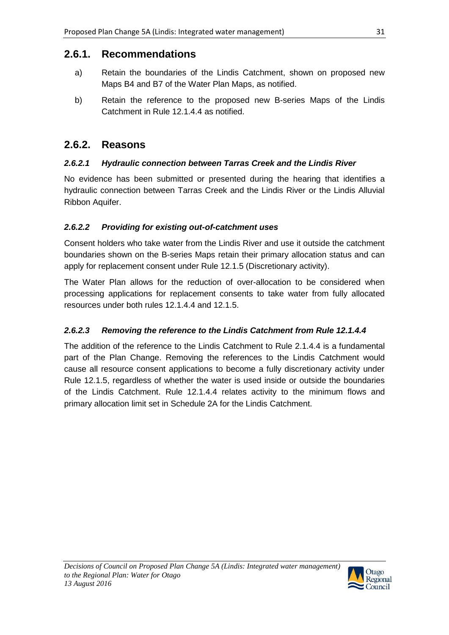### **2.6.1. Recommendations**

- a) Retain the boundaries of the Lindis Catchment, shown on proposed new Maps B4 and B7 of the Water Plan Maps, as notified.
- b) Retain the reference to the proposed new B-series Maps of the Lindis Catchment in Rule 12.1.4.4 as notified.

### **2.6.2. Reasons**

### *2.6.2.1 Hydraulic connection between Tarras Creek and the Lindis River*

No evidence has been submitted or presented during the hearing that identifies a hydraulic connection between Tarras Creek and the Lindis River or the Lindis Alluvial Ribbon Aquifer.

### *2.6.2.2 Providing for existing out-of-catchment uses*

Consent holders who take water from the Lindis River and use it outside the catchment boundaries shown on the B-series Maps retain their primary allocation status and can apply for replacement consent under Rule 12.1.5 (Discretionary activity).

The Water Plan allows for the reduction of over-allocation to be considered when processing applications for replacement consents to take water from fully allocated resources under both rules 12.1.4.4 and 12.1.5.

### *2.6.2.3 Removing the reference to the Lindis Catchment from Rule 12.1.4.4*

The addition of the reference to the Lindis Catchment to Rule 2.1.4.4 is a fundamental part of the Plan Change. Removing the references to the Lindis Catchment would cause all resource consent applications to become a fully discretionary activity under Rule 12.1.5, regardless of whether the water is used inside or outside the boundaries of the Lindis Catchment. Rule 12.1.4.4 relates activity to the minimum flows and primary allocation limit set in Schedule 2A for the Lindis Catchment.

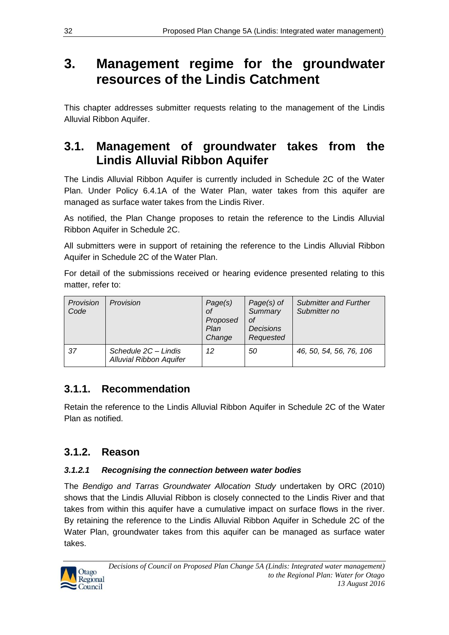# <span id="page-43-0"></span>**3. Management regime for the groundwater resources of the Lindis Catchment**

This chapter addresses submitter requests relating to the management of the Lindis Alluvial Ribbon Aquifer.

# <span id="page-43-1"></span>**3.1. Management of groundwater takes from the Lindis Alluvial Ribbon Aquifer**

The Lindis Alluvial Ribbon Aquifer is currently included in Schedule 2C of the Water Plan. Under Policy 6.4.1A of the Water Plan, water takes from this aquifer are managed as surface water takes from the Lindis River.

As notified, the Plan Change proposes to retain the reference to the Lindis Alluvial Ribbon Aquifer in Schedule 2C.

All submitters were in support of retaining the reference to the Lindis Alluvial Ribbon Aquifer in Schedule 2C of the Water Plan.

For detail of the submissions received or hearing evidence presented relating to this matter, refer to:

| Provision<br>Code | Provision                                       | Page(s)<br>Οf<br>Proposed<br>Plan<br>Change | Page(s) of<br>Summary<br>Οf<br><b>Decisions</b><br>Requested | <b>Submitter and Further</b><br>Submitter no |
|-------------------|-------------------------------------------------|---------------------------------------------|--------------------------------------------------------------|----------------------------------------------|
| 37                | Schedule 2C - Lindis<br>Alluvial Ribbon Aquifer | 12                                          | 50                                                           | 46, 50, 54, 56, 76, 106                      |

# **3.1.1. Recommendation**

Retain the reference to the Lindis Alluvial Ribbon Aquifer in Schedule 2C of the Water Plan as notified.

# **3.1.2. Reason**

### *3.1.2.1 Recognising the connection between water bodies*

The *Bendigo and Tarras Groundwater Allocation Study* undertaken by ORC (2010) shows that the Lindis Alluvial Ribbon is closely connected to the Lindis River and that takes from within this aquifer have a cumulative impact on surface flows in the river. By retaining the reference to the Lindis Alluvial Ribbon Aquifer in Schedule 2C of the Water Plan, groundwater takes from this aquifer can be managed as surface water takes.

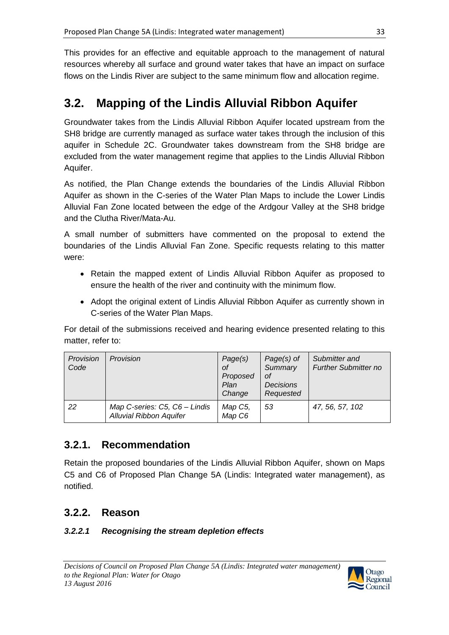This provides for an effective and equitable approach to the management of natural resources whereby all surface and ground water takes that have an impact on surface flows on the Lindis River are subject to the same minimum flow and allocation regime.

# <span id="page-44-0"></span>**3.2. Mapping of the Lindis Alluvial Ribbon Aquifer**

Groundwater takes from the Lindis Alluvial Ribbon Aquifer located upstream from the SH8 bridge are currently managed as surface water takes through the inclusion of this aquifer in Schedule 2C. Groundwater takes downstream from the SH8 bridge are excluded from the water management regime that applies to the Lindis Alluvial Ribbon Aquifer.

As notified, the Plan Change extends the boundaries of the Lindis Alluvial Ribbon Aquifer as shown in the C-series of the Water Plan Maps to include the Lower Lindis Alluvial Fan Zone located between the edge of the Ardgour Valley at the SH8 bridge and the Clutha River/Mata-Au.

A small number of submitters have commented on the proposal to extend the boundaries of the Lindis Alluvial Fan Zone. Specific requests relating to this matter were:

- Retain the mapped extent of Lindis Alluvial Ribbon Aquifer as proposed to ensure the health of the river and continuity with the minimum flow.
- Adopt the original extent of Lindis Alluvial Ribbon Aquifer as currently shown in C-series of the Water Plan Maps.

For detail of the submissions received and hearing evidence presented relating to this matter, refer to:

| Provision<br>Code | Provision                                                | Page(s)<br>0f<br>Proposed<br>Plan<br>Change | $Page(s)$ of<br>Summary<br><sub>of</sub><br>Decisions<br>Requested | Submitter and<br><b>Further Submitter no</b> |
|-------------------|----------------------------------------------------------|---------------------------------------------|--------------------------------------------------------------------|----------------------------------------------|
| 22                | Map C-series: C5, C6 - Lindis<br>Alluvial Ribbon Aquifer | Map C5,<br>Map C6                           | 53                                                                 | 47, 56, 57, 102                              |

# **3.2.1. Recommendation**

Retain the proposed boundaries of the Lindis Alluvial Ribbon Aquifer, shown on Maps C5 and C6 of Proposed Plan Change 5A (Lindis: Integrated water management), as notified.

# **3.2.2. Reason**

### *3.2.2.1 Recognising the stream depletion effects*

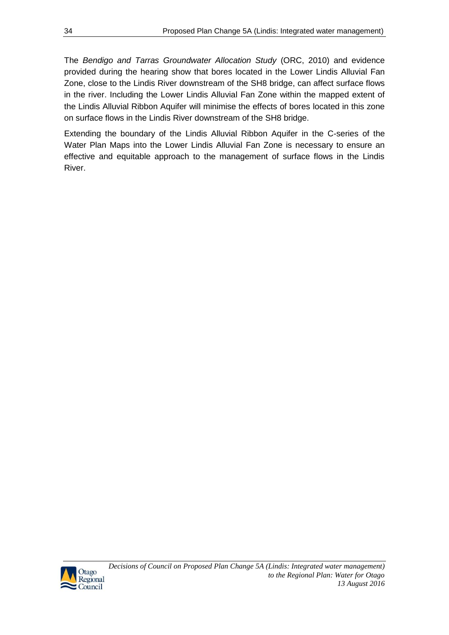The *Bendigo and Tarras Groundwater Allocation Study* (ORC, 2010) and evidence provided during the hearing show that bores located in the Lower Lindis Alluvial Fan Zone, close to the Lindis River downstream of the SH8 bridge, can affect surface flows in the river. Including the Lower Lindis Alluvial Fan Zone within the mapped extent of the Lindis Alluvial Ribbon Aquifer will minimise the effects of bores located in this zone on surface flows in the Lindis River downstream of the SH8 bridge.

Extending the boundary of the Lindis Alluvial Ribbon Aquifer in the C-series of the Water Plan Maps into the Lower Lindis Alluvial Fan Zone is necessary to ensure an effective and equitable approach to the management of surface flows in the Lindis River.

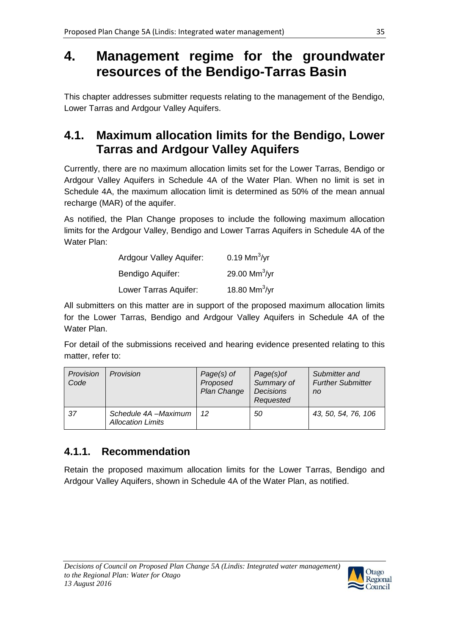# <span id="page-46-0"></span>**4. Management regime for the groundwater resources of the Bendigo-Tarras Basin**

This chapter addresses submitter requests relating to the management of the Bendigo, Lower Tarras and Ardgour Valley Aquifers.

# <span id="page-46-1"></span>**4.1. Maximum allocation limits for the Bendigo, Lower Tarras and Ardgour Valley Aquifers**

Currently, there are no maximum allocation limits set for the Lower Tarras, Bendigo or Ardgour Valley Aquifers in Schedule 4A of the Water Plan. When no limit is set in Schedule 4A, the maximum allocation limit is determined as 50% of the mean annual recharge (MAR) of the aquifer.

As notified, the Plan Change proposes to include the following maximum allocation limits for the Ardgour Valley, Bendigo and Lower Tarras Aquifers in Schedule 4A of the Water Plan:

| <b>Ardgour Valley Aquifer:</b> | $0.19$ Mm <sup>3</sup> /yr |
|--------------------------------|----------------------------|
| Bendigo Aquifer:               | 29.00 Mm <sup>3</sup> /yr  |
| Lower Tarras Aquifer:          | 18.80 Mm $^3$ /yr          |

All submitters on this matter are in support of the proposed maximum allocation limits for the Lower Tarras, Bendigo and Ardgour Valley Aquifers in Schedule 4A of the Water Plan.

For detail of the submissions received and hearing evidence presented relating to this matter, refer to:

| Provision<br>Code | Provision                                         | $Page(s)$ of<br>Proposed<br><b>Plan Change</b> | Page(s) of<br>Summary of<br><b>Decisions</b><br>Requested | Submitter and<br><b>Further Submitter</b><br>no |
|-------------------|---------------------------------------------------|------------------------------------------------|-----------------------------------------------------------|-------------------------------------------------|
| 37                | Schedule 4A - Maximum<br><b>Allocation Limits</b> | 12                                             | 50                                                        | 43, 50, 54, 76, 106                             |

# **4.1.1. Recommendation**

Retain the proposed maximum allocation limits for the Lower Tarras, Bendigo and Ardgour Valley Aquifers, shown in Schedule 4A of the Water Plan, as notified.

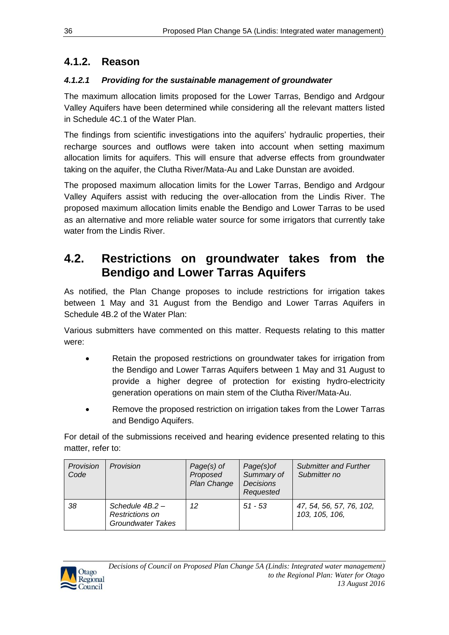### **4.1.2. Reason**

### *4.1.2.1 Providing for the sustainable management of groundwater*

The maximum allocation limits proposed for the Lower Tarras, Bendigo and Ardgour Valley Aquifers have been determined while considering all the relevant matters listed in Schedule 4C.1 of the Water Plan.

The findings from scientific investigations into the aquifers' hydraulic properties, their recharge sources and outflows were taken into account when setting maximum allocation limits for aquifers. This will ensure that adverse effects from groundwater taking on the aquifer, the Clutha River/Mata-Au and Lake Dunstan are avoided.

The proposed maximum allocation limits for the Lower Tarras, Bendigo and Ardgour Valley Aquifers assist with reducing the over-allocation from the Lindis River. The proposed maximum allocation limits enable the Bendigo and Lower Tarras to be used as an alternative and more reliable water source for some irrigators that currently take water from the Lindis River.

# <span id="page-47-0"></span>**4.2. Restrictions on groundwater takes from the Bendigo and Lower Tarras Aquifers**

As notified, the Plan Change proposes to include restrictions for irrigation takes between 1 May and 31 August from the Bendigo and Lower Tarras Aquifers in Schedule 4B.2 of the Water Plan:

Various submitters have commented on this matter. Requests relating to this matter were:

- Retain the proposed restrictions on groundwater takes for irrigation from the Bendigo and Lower Tarras Aquifers between 1 May and 31 August to provide a higher degree of protection for existing hydro-electricity generation operations on main stem of the Clutha River/Mata-Au.
- Remove the proposed restriction on irrigation takes from the Lower Tarras and Bendigo Aquifers.

For detail of the submissions received and hearing evidence presented relating to this matter, refer to:

| Provision<br>Code | Provision                                                        | Page(s) of<br>Proposed<br>Plan Change | Page(s)of<br>Summary of<br><b>Decisions</b><br>Requested | <b>Submitter and Further</b><br>Submitter no |
|-------------------|------------------------------------------------------------------|---------------------------------------|----------------------------------------------------------|----------------------------------------------|
| 38                | Schedule $4B.2 -$<br>Restrictions on<br><b>Groundwater Takes</b> | 12                                    | $51 - 53$                                                | 47, 54, 56, 57, 76, 102,<br>103, 105, 106,   |

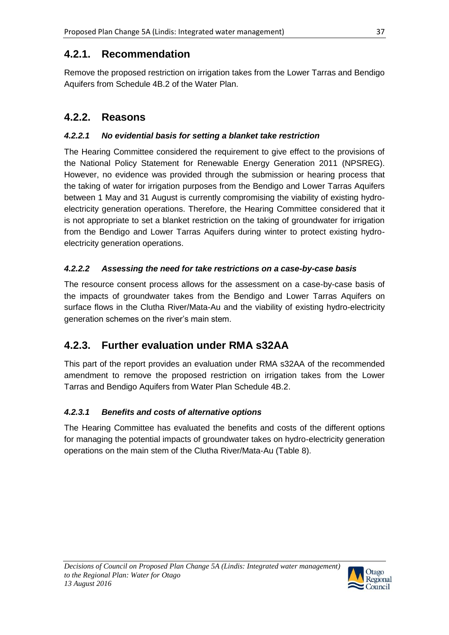### **4.2.1. Recommendation**

Remove the proposed restriction on irrigation takes from the Lower Tarras and Bendigo Aquifers from Schedule 4B.2 of the Water Plan.

### **4.2.2. Reasons**

### *4.2.2.1 No evidential basis for setting a blanket take restriction*

The Hearing Committee considered the requirement to give effect to the provisions of the National Policy Statement for Renewable Energy Generation 2011 (NPSREG). However, no evidence was provided through the submission or hearing process that the taking of water for irrigation purposes from the Bendigo and Lower Tarras Aquifers between 1 May and 31 August is currently compromising the viability of existing hydroelectricity generation operations. Therefore, the Hearing Committee considered that it is not appropriate to set a blanket restriction on the taking of groundwater for irrigation from the Bendigo and Lower Tarras Aquifers during winter to protect existing hydroelectricity generation operations.

### *4.2.2.2 Assessing the need for take restrictions on a case-by-case basis*

The resource consent process allows for the assessment on a case-by-case basis of the impacts of groundwater takes from the Bendigo and Lower Tarras Aquifers on surface flows in the Clutha River/Mata-Au and the viability of existing hydro-electricity generation schemes on the river's main stem.

### **4.2.3. Further evaluation under RMA s32AA**

This part of the report provides an evaluation under RMA s32AA of the recommended amendment to remove the proposed restriction on irrigation takes from the Lower Tarras and Bendigo Aquifers from Water Plan Schedule 4B.2.

### *4.2.3.1 Benefits and costs of alternative options*

The Hearing Committee has evaluated the benefits and costs of the different options for managing the potential impacts of groundwater takes on hydro-electricity generation operations on the main stem of the Clutha River/Mata-Au (Table 8).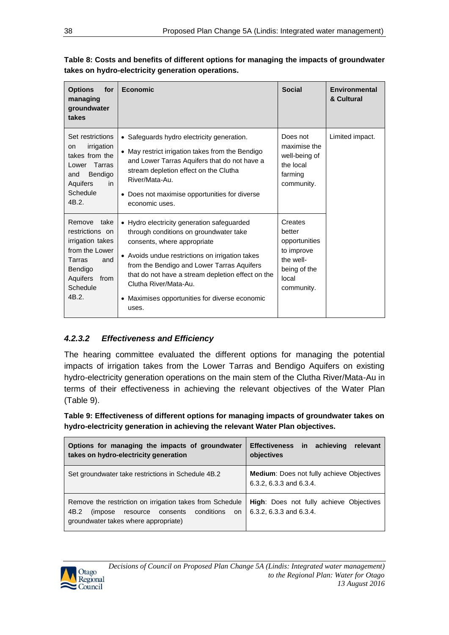| <b>Options</b><br>for<br>managing<br>groundwater<br>takes                                                                                    | <b>Economic</b>                                                                                                                                                                                                                                                                                                                                               | <b>Social</b>                                                                                        | Environmental<br>& Cultural |
|----------------------------------------------------------------------------------------------------------------------------------------------|---------------------------------------------------------------------------------------------------------------------------------------------------------------------------------------------------------------------------------------------------------------------------------------------------------------------------------------------------------------|------------------------------------------------------------------------------------------------------|-----------------------------|
| Set restrictions<br>irrigation<br>on<br>takes from the<br>Tarras<br>Lower<br>Bendigo<br>and<br>Aquifers<br>in.<br>Schedule<br>4B.2.          | • Safeguards hydro electricity generation.<br>• May restrict irrigation takes from the Bendigo<br>and Lower Tarras Aquifers that do not have a<br>stream depletion effect on the Clutha<br>River/Mata-Au<br>• Does not maximise opportunities for diverse<br>economic uses.                                                                                   | Does not<br>maximise the<br>well-being of<br>the local<br>farming<br>community.                      | Limited impact.             |
| Remove<br>take<br>restrictions on<br>irrigation takes<br>from the Lower<br>Tarras<br>and<br>Bendigo<br>Aquifers<br>from<br>Schedule<br>4B.2. | • Hydro electricity generation safeguarded<br>through conditions on groundwater take<br>consents, where appropriate<br>• Avoids undue restrictions on irrigation takes<br>from the Bendigo and Lower Tarras Aquifers<br>that do not have a stream depletion effect on the<br>Clutha River/Mata-Au.<br>• Maximises opportunities for diverse economic<br>uses. | Creates<br>better<br>opportunities<br>to improve<br>the well-<br>being of the<br>local<br>community. |                             |

**Table 8: Costs and benefits of different options for managing the impacts of groundwater takes on hydro-electricity generation operations.** 

### *4.2.3.2 Effectiveness and Efficiency*

The hearing committee evaluated the different options for managing the potential impacts of irrigation takes from the Lower Tarras and Bendigo Aquifers on existing hydro-electricity generation operations on the main stem of the Clutha River/Mata-Au in terms of their effectiveness in achieving the relevant objectives of the Water Plan (Table 9).

**Table 9: Effectiveness of different options for managing impacts of groundwater takes on hydro-electricity generation in achieving the relevant Water Plan objectives.** 

| Options for managing the impacts of groundwater<br>takes on hydro-electricity generation                                                                    | Effectiveness in achieving<br>relevant<br>objectives                           |
|-------------------------------------------------------------------------------------------------------------------------------------------------------------|--------------------------------------------------------------------------------|
| Set groundwater take restrictions in Schedule 4B.2                                                                                                          | <b>Medium:</b> Does not fully achieve Objectives<br>6.3.2, 6.3.3 and 6.3.4.    |
| Remove the restriction on irrigation takes from Schedule<br>4B.2<br>resource consents conditions<br>(impose)<br>on.<br>groundwater takes where appropriate) | <b>High:</b> Does not fully achieve Objectives<br>$6.3.2, 6.3.3$ and $6.3.4$ . |

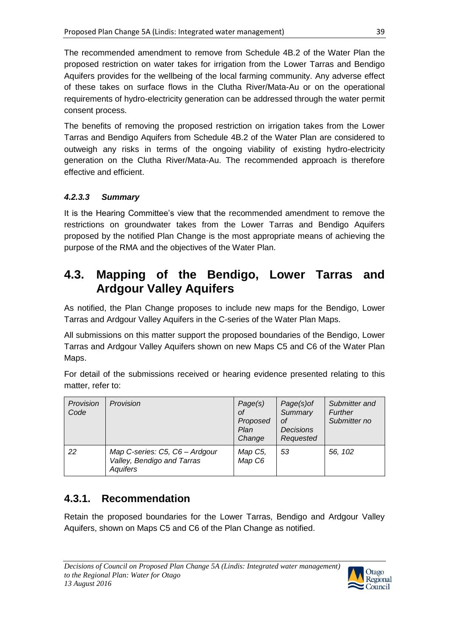The recommended amendment to remove from Schedule 4B.2 of the Water Plan the proposed restriction on water takes for irrigation from the Lower Tarras and Bendigo Aquifers provides for the wellbeing of the local farming community. Any adverse effect of these takes on surface flows in the Clutha River/Mata-Au or on the operational requirements of hydro-electricity generation can be addressed through the water permit consent process.

The benefits of removing the proposed restriction on irrigation takes from the Lower Tarras and Bendigo Aquifers from Schedule 4B.2 of the Water Plan are considered to outweigh any risks in terms of the ongoing viability of existing hydro-electricity generation on the Clutha River/Mata-Au. The recommended approach is therefore effective and efficient.

### *4.2.3.3 Summary*

It is the Hearing Committee's view that the recommended amendment to remove the restrictions on groundwater takes from the Lower Tarras and Bendigo Aquifers proposed by the notified Plan Change is the most appropriate means of achieving the purpose of the RMA and the objectives of the Water Plan.

# <span id="page-50-0"></span>**4.3. Mapping of the Bendigo, Lower Tarras and Ardgour Valley Aquifers**

As notified, the Plan Change proposes to include new maps for the Bendigo, Lower Tarras and Ardgour Valley Aquifers in the C-series of the Water Plan Maps.

All submissions on this matter support the proposed boundaries of the Bendigo, Lower Tarras and Ardgour Valley Aquifers shown on new Maps C5 and C6 of the Water Plan Maps.

For detail of the submissions received or hearing evidence presented relating to this matter, refer to:

| Provision<br>Code | Provision                                                                | Page(s)<br>0f<br>Proposed<br>Plan<br>Change | Page(s) of<br>Summary<br>оf<br><b>Decisions</b><br>Requested | Submitter and<br>Further<br>Submitter no |
|-------------------|--------------------------------------------------------------------------|---------------------------------------------|--------------------------------------------------------------|------------------------------------------|
| 22                | Map C-series: C5, C6 - Ardgour<br>Valley, Bendigo and Tarras<br>Aquifers | Map C5,<br>Map C6                           | 53                                                           | 56, 102                                  |

# **4.3.1. Recommendation**

Retain the proposed boundaries for the Lower Tarras, Bendigo and Ardgour Valley Aquifers, shown on Maps C5 and C6 of the Plan Change as notified.

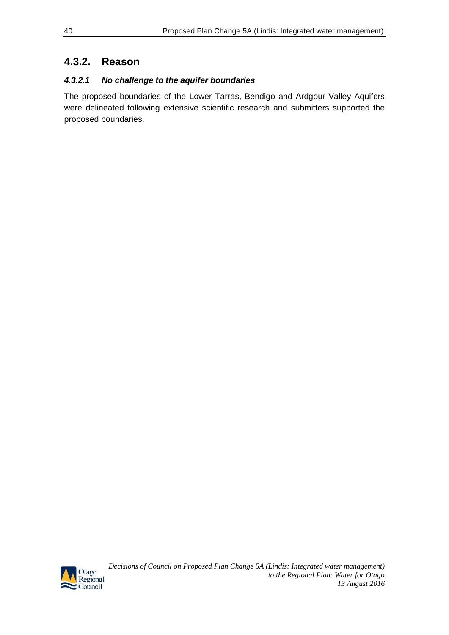### **4.3.2. Reason**

### *4.3.2.1 No challenge to the aquifer boundaries*

The proposed boundaries of the Lower Tarras, Bendigo and Ardgour Valley Aquifers were delineated following extensive scientific research and submitters supported the proposed boundaries.

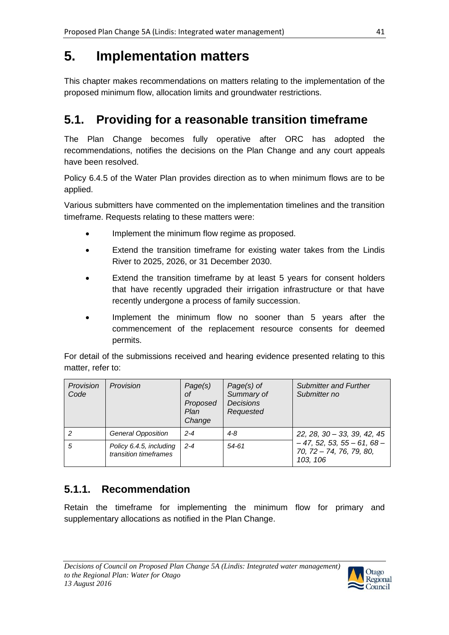# <span id="page-52-0"></span>**5. Implementation matters**

This chapter makes recommendations on matters relating to the implementation of the proposed minimum flow, allocation limits and groundwater restrictions.

# <span id="page-52-1"></span>**5.1. Providing for a reasonable transition timeframe**

The Plan Change becomes fully operative after ORC has adopted the recommendations, notifies the decisions on the Plan Change and any court appeals have been resolved.

Policy 6.4.5 of the Water Plan provides direction as to when minimum flows are to be applied.

Various submitters have commented on the implementation timelines and the transition timeframe. Requests relating to these matters were:

- Implement the minimum flow regime as proposed.
- Extend the transition timeframe for existing water takes from the Lindis River to 2025, 2026, or 31 December 2030.
- Extend the transition timeframe by at least 5 years for consent holders that have recently upgraded their irrigation infrastructure or that have recently undergone a process of family succession.
- Implement the minimum flow no sooner than 5 years after the commencement of the replacement resource consents for deemed permits.

For detail of the submissions received and hearing evidence presented relating to this matter, refer to:

| Provision<br>Code | Provision                                        | Page(s)<br>Οf<br>Proposed<br>Plan<br>Change | Page(s) of<br>Summary of<br><b>Decisions</b><br>Requested | <b>Submitter and Further</b><br>Submitter no                         |
|-------------------|--------------------------------------------------|---------------------------------------------|-----------------------------------------------------------|----------------------------------------------------------------------|
|                   | <b>General Opposition</b>                        | $2 - 4$                                     | $4-8$                                                     | $22, 28, 30 - 33, 39, 42, 45$                                        |
| 5                 | Policy 6.4.5, including<br>transition timeframes | $2 - 4$                                     | 54-61                                                     | $-47, 52, 53, 55 - 61, 68 -$<br>70, 72 - 74, 76, 79, 80,<br>103, 106 |

# **5.1.1. Recommendation**

Retain the timeframe for implementing the minimum flow for primary and supplementary allocations as notified in the Plan Change.

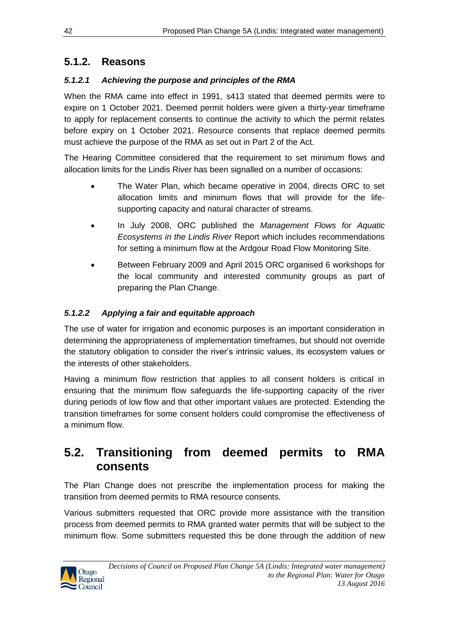# **5.1.2. Reasons**

### *5.1.2.1 Achieving the purpose and principles of the RMA*

When the RMA came into effect in 1991, s413 stated that deemed permits were to expire on 1 October 2021. Deemed permit holders were given a thirty-year timeframe to apply for replacement consents to continue the activity to which the permit relates before expiry on 1 October 2021. Resource consents that replace deemed permits must achieve the purpose of the RMA as set out in Part 2 of the Act.

The Hearing Committee considered that the requirement to set minimum flows and allocation limits for the Lindis River has been signalled on a number of occasions:

- The Water Plan, which became operative in 2004, directs ORC to set allocation limits and minimum flows that will provide for the lifesupporting capacity and natural character of streams.
- In July 2008, ORC published the *Management Flows for Aquatic Ecosystems in the Lindis River* Report which includes recommendations for setting a minimum flow at the Ardgour Road Flow Monitoring Site.
- Between February 2009 and April 2015 ORC organised 6 workshops for the local community and interested community groups as part of preparing the Plan Change.

### *5.1.2.2 Applying a fair and equitable approach*

The use of water for irrigation and economic purposes is an important consideration in determining the appropriateness of implementation timeframes, but should not override the statutory obligation to consider the river's intrinsic values, its ecosystem values or the interests of other stakeholders.

Having a minimum flow restriction that applies to all consent holders is critical in ensuring that the minimum flow safeguards the life-supporting capacity of the river during periods of low flow and that other important values are protected. Extending the transition timeframes for some consent holders could compromise the effectiveness of a minimum flow.

# <span id="page-53-0"></span>**5.2. Transitioning from deemed permits to RMA consents**

The Plan Change does not prescribe the implementation process for making the transition from deemed permits to RMA resource consents.

Various submitters requested that ORC provide more assistance with the transition process from deemed permits to RMA granted water permits that will be subject to the minimum flow. Some submitters requested this be done through the addition of new

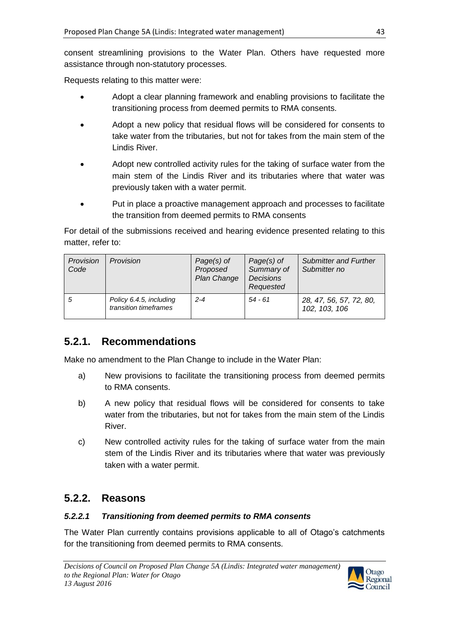consent streamlining provisions to the Water Plan. Others have requested more assistance through non-statutory processes.

Requests relating to this matter were:

- Adopt a clear planning framework and enabling provisions to facilitate the transitioning process from deemed permits to RMA consents.
- Adopt a new policy that residual flows will be considered for consents to take water from the tributaries, but not for takes from the main stem of the Lindis River.
- Adopt new controlled activity rules for the taking of surface water from the main stem of the Lindis River and its tributaries where that water was previously taken with a water permit.
- Put in place a proactive management approach and processes to facilitate the transition from deemed permits to RMA consents

For detail of the submissions received and hearing evidence presented relating to this matter, refer to:

| Provision<br>Code | Provision                                        | $Page(s)$ of<br>Proposed<br>Plan Change | $Page(s)$ of<br>Summary of<br>Decisions<br>Requested | <b>Submitter and Further</b><br>Submitter no |
|-------------------|--------------------------------------------------|-----------------------------------------|------------------------------------------------------|----------------------------------------------|
| $\overline{5}$    | Policy 6.4.5, including<br>transition timeframes | $2 - 4$                                 | $54 - 61$                                            | 28, 47, 56, 57, 72, 80,<br>102, 103, 106     |

# **5.2.1. Recommendations**

Make no amendment to the Plan Change to include in the Water Plan:

- a) New provisions to facilitate the transitioning process from deemed permits to RMA consents.
- b) A new policy that residual flows will be considered for consents to take water from the tributaries, but not for takes from the main stem of the Lindis River.
- c) New controlled activity rules for the taking of surface water from the main stem of the Lindis River and its tributaries where that water was previously taken with a water permit.

# **5.2.2. Reasons**

### *5.2.2.1 Transitioning from deemed permits to RMA consents*

The Water Plan currently contains provisions applicable to all of Otago's catchments for the transitioning from deemed permits to RMA consents.

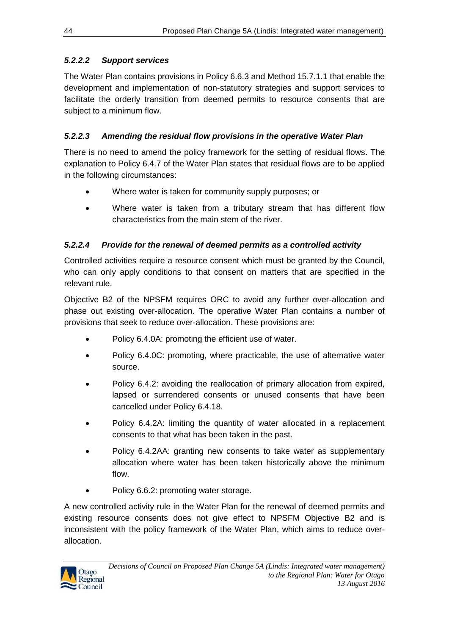### *5.2.2.2 Support services*

The Water Plan contains provisions in Policy 6.6.3 and Method 15.7.1.1 that enable the development and implementation of non-statutory strategies and support services to facilitate the orderly transition from deemed permits to resource consents that are subject to a minimum flow.

### *5.2.2.3 Amending the residual flow provisions in the operative Water Plan*

There is no need to amend the policy framework for the setting of residual flows. The explanation to Policy 6.4.7 of the Water Plan states that residual flows are to be applied in the following circumstances:

- Where water is taken for community supply purposes; or
- Where water is taken from a tributary stream that has different flow characteristics from the main stem of the river.

### *5.2.2.4 Provide for the renewal of deemed permits as a controlled activity*

Controlled activities require a resource consent which must be granted by the Council, who can only apply conditions to that consent on matters that are specified in the relevant rule.

Objective B2 of the NPSFM requires ORC to avoid any further over-allocation and phase out existing over-allocation. The operative Water Plan contains a number of provisions that seek to reduce over-allocation. These provisions are:

- Policy 6.4.0A: promoting the efficient use of water.
- Policy 6.4.0C: promoting, where practicable, the use of alternative water source.
- Policy 6.4.2: avoiding the reallocation of primary allocation from expired, lapsed or surrendered consents or unused consents that have been cancelled under Policy 6.4.18.
- Policy 6.4.2A: limiting the quantity of water allocated in a replacement consents to that what has been taken in the past.
- Policy 6.4.2AA: granting new consents to take water as supplementary allocation where water has been taken historically above the minimum flow.
- Policy 6.6.2: promoting water storage.

A new controlled activity rule in the Water Plan for the renewal of deemed permits and existing resource consents does not give effect to NPSFM Objective B2 and is inconsistent with the policy framework of the Water Plan, which aims to reduce overallocation.

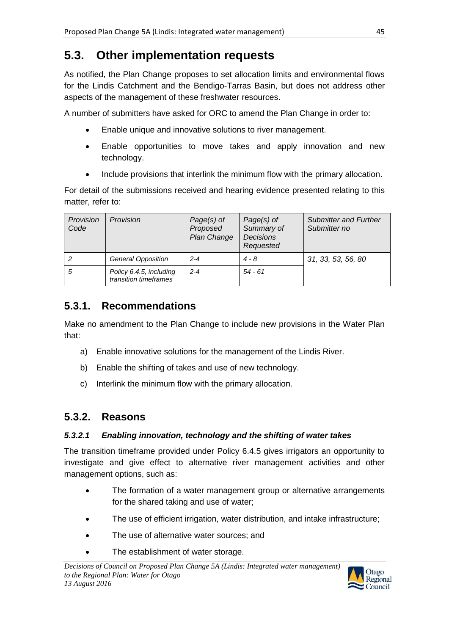# <span id="page-56-0"></span>**5.3. Other implementation requests**

As notified, the Plan Change proposes to set allocation limits and environmental flows for the Lindis Catchment and the Bendigo-Tarras Basin, but does not address other aspects of the management of these freshwater resources.

A number of submitters have asked for ORC to amend the Plan Change in order to:

- Enable unique and innovative solutions to river management.
- Enable opportunities to move takes and apply innovation and new technology.
- Include provisions that interlink the minimum flow with the primary allocation.

For detail of the submissions received and hearing evidence presented relating to this matter, refer to:

| Provision<br>Code | Provision                                        | Page(s) of<br>Proposed<br>Plan Change | Page(s) of<br>Summary of<br><b>Decisions</b><br>Requested | <b>Submitter and Further</b><br>Submitter no |
|-------------------|--------------------------------------------------|---------------------------------------|-----------------------------------------------------------|----------------------------------------------|
|                   | <b>General Opposition</b>                        | $2 - 4$                               | $4 - 8$                                                   | 31, 33, 53, 56, 80                           |
| 5                 | Policy 6.4.5, including<br>transition timeframes | $2 - 4$                               | $54 - 61$                                                 |                                              |

### **5.3.1. Recommendations**

Make no amendment to the Plan Change to include new provisions in the Water Plan that:

- a) Enable innovative solutions for the management of the Lindis River.
- b) Enable the shifting of takes and use of new technology.
- c) Interlink the minimum flow with the primary allocation.

### **5.3.2. Reasons**

### *5.3.2.1 Enabling innovation, technology and the shifting of water takes*

The transition timeframe provided under Policy 6.4.5 gives irrigators an opportunity to investigate and give effect to alternative river management activities and other management options, such as:

- The formation of a water management group or alternative arrangements for the shared taking and use of water;
- The use of efficient irrigation, water distribution, and intake infrastructure;
- The use of alternative water sources; and
- The establishment of water storage.

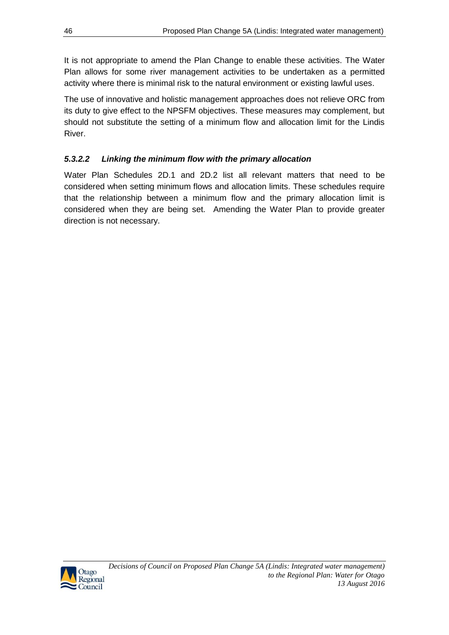It is not appropriate to amend the Plan Change to enable these activities. The Water Plan allows for some river management activities to be undertaken as a permitted activity where there is minimal risk to the natural environment or existing lawful uses.

The use of innovative and holistic management approaches does not relieve ORC from its duty to give effect to the NPSFM objectives. These measures may complement, but should not substitute the setting of a minimum flow and allocation limit for the Lindis River.

### *5.3.2.2 Linking the minimum flow with the primary allocation*

Water Plan Schedules 2D.1 and 2D.2 list all relevant matters that need to be considered when setting minimum flows and allocation limits. These schedules require that the relationship between a minimum flow and the primary allocation limit is considered when they are being set. Amending the Water Plan to provide greater direction is not necessary.

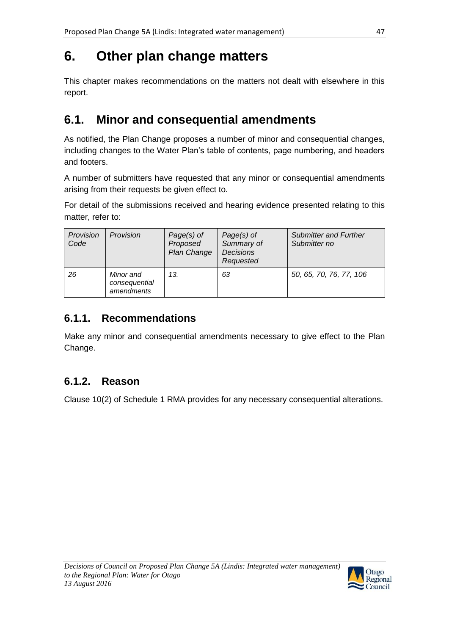# <span id="page-58-0"></span>**6. Other plan change matters**

This chapter makes recommendations on the matters not dealt with elsewhere in this report.

# <span id="page-58-1"></span>**6.1. Minor and consequential amendments**

As notified, the Plan Change proposes a number of minor and consequential changes, including changes to the Water Plan's table of contents, page numbering, and headers and footers.

A number of submitters have requested that any minor or consequential amendments arising from their requests be given effect to.

For detail of the submissions received and hearing evidence presented relating to this matter, refer to:

| Provision<br>Code | Provision                                | $Page(s)$ of<br>Proposed<br>Plan Change | Page(s) of<br>Summary of<br><b>Decisions</b><br>Requested | <b>Submitter and Further</b><br>Submitter no |
|-------------------|------------------------------------------|-----------------------------------------|-----------------------------------------------------------|----------------------------------------------|
| 26                | Minor and<br>consequential<br>amendments | 13.                                     | 63                                                        | 50, 65, 70, 76, 77, 106                      |

### **6.1.1. Recommendations**

Make any minor and consequential amendments necessary to give effect to the Plan Change.

# **6.1.2. Reason**

Clause 10(2) of Schedule 1 RMA provides for any necessary consequential alterations.

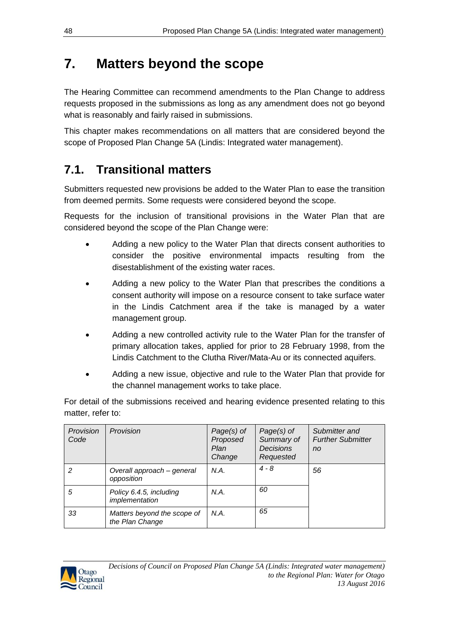# <span id="page-59-0"></span>**7. Matters beyond the scope**

The Hearing Committee can recommend amendments to the Plan Change to address requests proposed in the submissions as long as any amendment does not go beyond what is reasonably and fairly raised in submissions.

This chapter makes recommendations on all matters that are considered beyond the scope of Proposed Plan Change 5A (Lindis: Integrated water management).

# <span id="page-59-1"></span>**7.1. Transitional matters**

Submitters requested new provisions be added to the Water Plan to ease the transition from deemed permits. Some requests were considered beyond the scope.

Requests for the inclusion of transitional provisions in the Water Plan that are considered beyond the scope of the Plan Change were:

- Adding a new policy to the Water Plan that directs consent authorities to consider the positive environmental impacts resulting from the disestablishment of the existing water races.
- Adding a new policy to the Water Plan that prescribes the conditions a consent authority will impose on a resource consent to take surface water in the Lindis Catchment area if the take is managed by a water management group.
- Adding a new controlled activity rule to the Water Plan for the transfer of primary allocation takes, applied for prior to 28 February 1998, from the Lindis Catchment to the Clutha River/Mata-Au or its connected aquifers.
- Adding a new issue, objective and rule to the Water Plan that provide for the channel management works to take place.

For detail of the submissions received and hearing evidence presented relating to this matter, refer to:

| Provision<br>Code | Provision                                      | Page(s) of<br>Proposed<br>Plan<br>Change | $Page(s)$ of<br>Summary of<br><b>Decisions</b><br>Requested | Submitter and<br><b>Further Submitter</b><br>no |
|-------------------|------------------------------------------------|------------------------------------------|-------------------------------------------------------------|-------------------------------------------------|
|                   | Overall approach – general<br>opposition       | N.A.                                     | $4 - 8$                                                     | 56                                              |
| 5                 | Policy 6.4.5, including<br>implementation      | N.A.                                     | 60                                                          |                                                 |
| 33                | Matters beyond the scope of<br>the Plan Change | N.A.                                     | 65                                                          |                                                 |

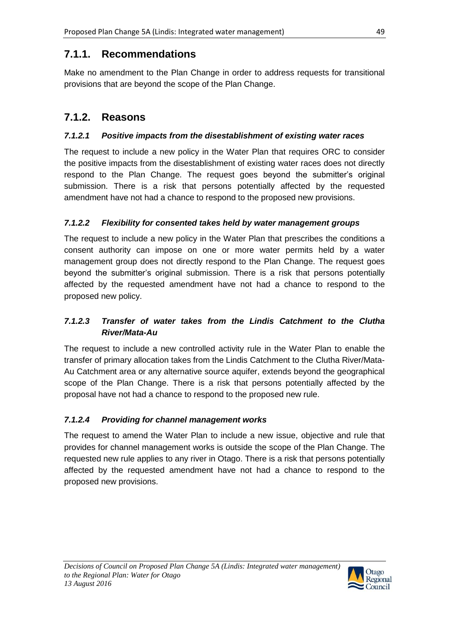### **7.1.1. Recommendations**

Make no amendment to the Plan Change in order to address requests for transitional provisions that are beyond the scope of the Plan Change.

### **7.1.2. Reasons**

### *7.1.2.1 Positive impacts from the disestablishment of existing water races*

The request to include a new policy in the Water Plan that requires ORC to consider the positive impacts from the disestablishment of existing water races does not directly respond to the Plan Change. The request goes beyond the submitter's original submission. There is a risk that persons potentially affected by the requested amendment have not had a chance to respond to the proposed new provisions.

### *7.1.2.2 Flexibility for consented takes held by water management groups*

The request to include a new policy in the Water Plan that prescribes the conditions a consent authority can impose on one or more water permits held by a water management group does not directly respond to the Plan Change. The request goes beyond the submitter's original submission. There is a risk that persons potentially affected by the requested amendment have not had a chance to respond to the proposed new policy.

### *7.1.2.3 Transfer of water takes from the Lindis Catchment to the Clutha River/Mata-Au*

The request to include a new controlled activity rule in the Water Plan to enable the transfer of primary allocation takes from the Lindis Catchment to the Clutha River/Mata-Au Catchment area or any alternative source aquifer, extends beyond the geographical scope of the Plan Change. There is a risk that persons potentially affected by the proposal have not had a chance to respond to the proposed new rule.

### *7.1.2.4 Providing for channel management works*

The request to amend the Water Plan to include a new issue, objective and rule that provides for channel management works is outside the scope of the Plan Change. The requested new rule applies to any river in Otago. There is a risk that persons potentially affected by the requested amendment have not had a chance to respond to the proposed new provisions.

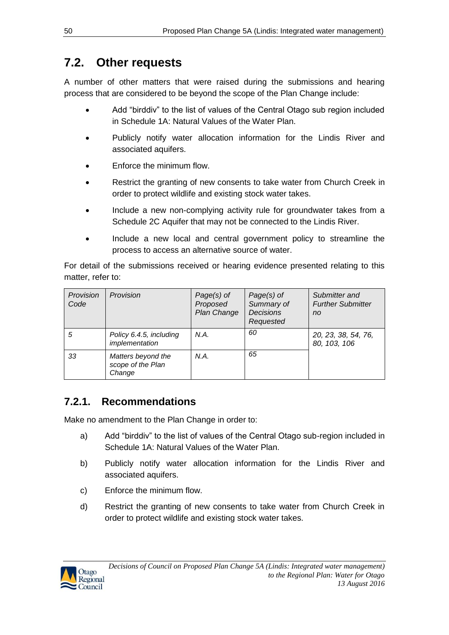# <span id="page-61-0"></span>**7.2. Other requests**

A number of other matters that were raised during the submissions and hearing process that are considered to be beyond the scope of the Plan Change include:

- Add "birddiv" to the list of values of the Central Otago sub region included in Schedule 1A: Natural Values of the Water Plan.
- Publicly notify water allocation information for the Lindis River and associated aquifers.
- Enforce the minimum flow.
- Restrict the granting of new consents to take water from Church Creek in order to protect wildlife and existing stock water takes.
- Include a new non-complying activity rule for groundwater takes from a Schedule 2C Aquifer that may not be connected to the Lindis River.
- Include a new local and central government policy to streamline the process to access an alternative source of water.

For detail of the submissions received or hearing evidence presented relating to this matter, refer to:

| Provision<br>Code | Provision                                         | Page(s) of<br>Proposed<br>Plan Change | Page(s) of<br>Summary of<br><b>Decisions</b><br>Requested | Submitter and<br><b>Further Submitter</b><br>no |
|-------------------|---------------------------------------------------|---------------------------------------|-----------------------------------------------------------|-------------------------------------------------|
| 5                 | Policy 6.4.5, including<br>implementation         | N.A.                                  | 60                                                        | 20, 23, 38, 54, 76,<br>80, 103, 106             |
| 33                | Matters beyond the<br>scope of the Plan<br>Change | N.A.                                  | 65                                                        |                                                 |

### **7.2.1. Recommendations**

Make no amendment to the Plan Change in order to:

- a) Add "birddiv" to the list of values of the Central Otago sub-region included in Schedule 1A: Natural Values of the Water Plan.
- b) Publicly notify water allocation information for the Lindis River and associated aquifers.
- c) Enforce the minimum flow.
- d) Restrict the granting of new consents to take water from Church Creek in order to protect wildlife and existing stock water takes.

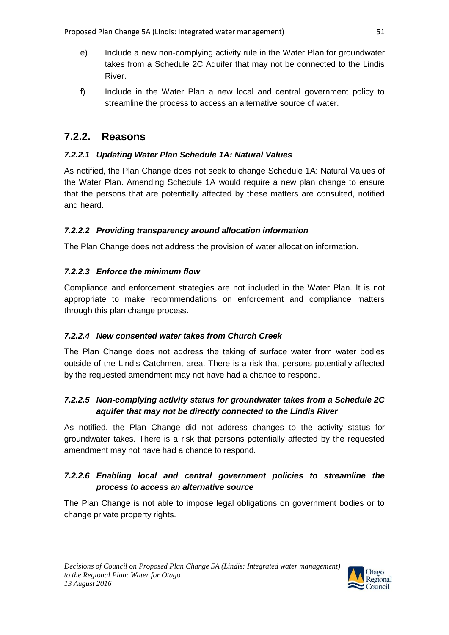- e) Include a new non-complying activity rule in the Water Plan for groundwater takes from a Schedule 2C Aquifer that may not be connected to the Lindis River.
- f) Include in the Water Plan a new local and central government policy to streamline the process to access an alternative source of water.

### **7.2.2. Reasons**

### *7.2.2.1 Updating Water Plan Schedule 1A: Natural Values*

As notified, the Plan Change does not seek to change Schedule 1A: Natural Values of the Water Plan. Amending Schedule 1A would require a new plan change to ensure that the persons that are potentially affected by these matters are consulted, notified and heard.

### *7.2.2.2 Providing transparency around allocation information*

The Plan Change does not address the provision of water allocation information.

### *7.2.2.3 Enforce the minimum flow*

Compliance and enforcement strategies are not included in the Water Plan. It is not appropriate to make recommendations on enforcement and compliance matters through this plan change process.

### *7.2.2.4 New consented water takes from Church Creek*

The Plan Change does not address the taking of surface water from water bodies outside of the Lindis Catchment area. There is a risk that persons potentially affected by the requested amendment may not have had a chance to respond.

### *7.2.2.5 Non-complying activity status for groundwater takes from a Schedule 2C aquifer that may not be directly connected to the Lindis River*

As notified, the Plan Change did not address changes to the activity status for groundwater takes. There is a risk that persons potentially affected by the requested amendment may not have had a chance to respond.

### *7.2.2.6 Enabling local and central government policies to streamline the process to access an alternative source*

The Plan Change is not able to impose legal obligations on government bodies or to change private property rights.

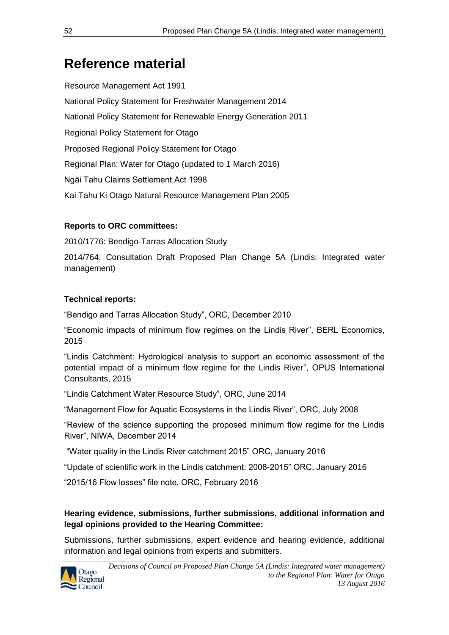# <span id="page-63-0"></span>**Reference material**

Resource Management Act 1991 National Policy Statement for Freshwater Management 2014 National Policy Statement for Renewable Energy Generation 2011 Regional Policy Statement for Otago Proposed Regional Policy Statement for Otago Regional Plan: Water for Otago (updated to 1 March 2016) Ngāi Tahu Claims Settlement Act 1998 Kai Tahu Ki Otago Natural Resource Management Plan 2005

### **Reports to ORC committees:**

2010/1776: Bendigo-Tarras Allocation Study

2014/764: Consultation Draft Proposed Plan Change 5A (Lindis: Integrated water management)

### **Technical reports:**

"Bendigo and Tarras Allocation Study", ORC, December 2010

"Economic impacts of minimum flow regimes on the Lindis River", BERL Economics, 2015

"Lindis Catchment: Hydrological analysis to support an economic assessment of the potential impact of a minimum flow regime for the Lindis River", OPUS International Consultants, 2015

"Lindis Catchment Water Resource Study", ORC, June 2014

"Management Flow for Aquatic Ecosystems in the Lindis River", ORC, July 2008

"Review of the science supporting the proposed minimum flow regime for the Lindis River", NIWA, December 2014

"Water quality in the Lindis River catchment 2015" ORC, January 2016

"Update of scientific work in the Lindis catchment: 2008-2015" ORC, January 2016

"2015/16 Flow losses" file note, ORC, February 2016

### **Hearing evidence, submissions, further submissions, additional information and legal opinions provided to the Hearing Committee:**

Submissions, further submissions, expert evidence and hearing evidence, additional information and legal opinions from experts and submitters.

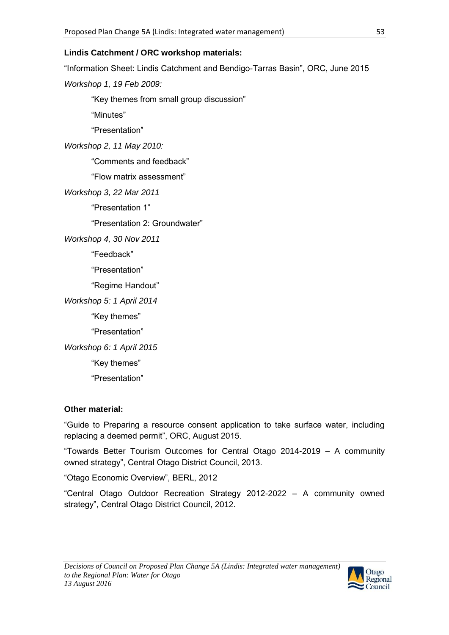"Information Sheet: Lindis Catchment and Bendigo-Tarras Basin", ORC, June 2015

*Workshop 1, 19 Feb 2009:*

"Key themes from small group discussion"

"Minutes"

"Presentation"

*Workshop 2, 11 May 2010:*

"Comments and feedback"

"Flow matrix assessment"

*Workshop 3, 22 Mar 2011*

"Presentation 1"

"Presentation 2: Groundwater"

*Workshop 4, 30 Nov 2011*

"Feedback"

"Presentation"

"Regime Handout"

*Workshop 5: 1 April 2014*

"Key themes"

"Presentation"

*Workshop 6: 1 April 2015*

"Key themes"

"Presentation"

### **Other material:**

"Guide to Preparing a resource consent application to take surface water, including replacing a deemed permit", ORC, August 2015.

"Towards Better Tourism Outcomes for Central Otago 2014-2019 – A community owned strategy", Central Otago District Council, 2013.

"Otago Economic Overview", BERL, 2012

"Central Otago Outdoor Recreation Strategy 2012-2022 – A community owned strategy", Central Otago District Council, 2012.

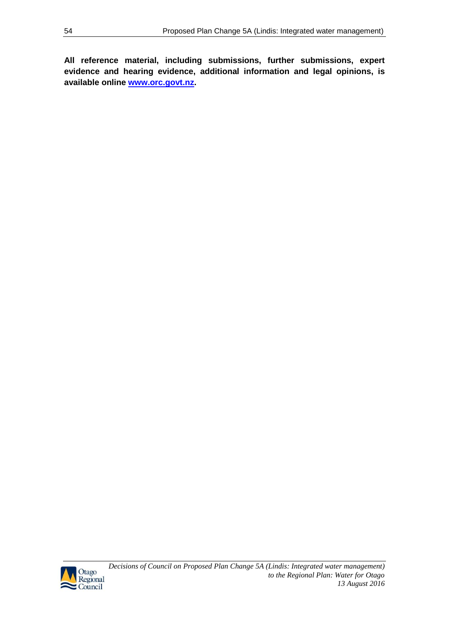**All reference material, including submissions, further submissions, expert evidence and hearing evidence, additional information and legal opinions, is available online [www.orc.govt.nz.](http://www.orc.govt.nz/)**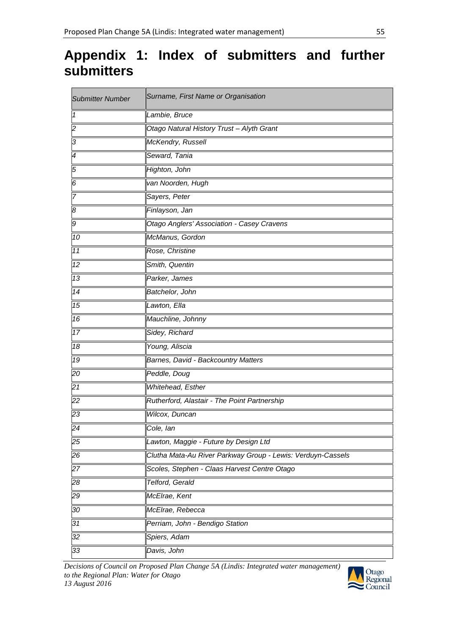# <span id="page-66-0"></span>**Appendix 1: Index of submitters and further submitters**

| <b>Submitter Number</b>  | Surname, First Name or Organisation                         |  |  |
|--------------------------|-------------------------------------------------------------|--|--|
| 1                        | Lambie, Bruce                                               |  |  |
| $\overline{2}$           | Otago Natural History Trust - Alyth Grant                   |  |  |
| 3                        | McKendry, Russell                                           |  |  |
| $\overline{\mathcal{A}}$ | Seward, Tania                                               |  |  |
| $\overline{5}$           | Highton, John                                               |  |  |
| $\overline{6}$           | van Noorden, Hugh                                           |  |  |
| 7                        | Sayers, Peter                                               |  |  |
| $\overline{8}$           | Finlayson, Jan                                              |  |  |
| 9                        | <b>Otago Anglers' Association - Casey Cravens</b>           |  |  |
| 10                       | McManus, Gordon                                             |  |  |
| 11                       | Rose, Christine                                             |  |  |
| 12                       | Smith, Quentin                                              |  |  |
| 13                       | Parker, James                                               |  |  |
| 14                       | Batchelor, John                                             |  |  |
| 15                       | Lawton, Ella                                                |  |  |
| 16                       | Mauchline, Johnny                                           |  |  |
| 17                       | Sidey, Richard                                              |  |  |
| 18                       | Young, Aliscia                                              |  |  |
| 19                       | Barnes, David - Backcountry Matters                         |  |  |
| 20                       | Peddle, Doug                                                |  |  |
| $\overline{21}$          | <b>Whitehead, Esther</b>                                    |  |  |
| 22                       | Rutherford, Alastair - The Point Partnership                |  |  |
| 23                       | Wilcox, Duncan                                              |  |  |
| $\overline{24}$          | Cole, lan                                                   |  |  |
| 25                       | Lawton, Maggie - Future by Design Ltd                       |  |  |
| 26                       | Clutha Mata-Au River Parkway Group - Lewis: Verduyn-Cassels |  |  |
| 27                       | Scoles, Stephen - Claas Harvest Centre Otago                |  |  |
| 28                       | Telford, Gerald                                             |  |  |
| $\overline{29}$          | McElrae, Kent                                               |  |  |
| 30                       | McElrae, Rebecca                                            |  |  |
| 31                       | Perriam, John - Bendigo Station                             |  |  |
| 32                       | Spiers, Adam                                                |  |  |
| 33                       | Davis, John                                                 |  |  |

*Decisions of Council on Proposed Plan Change 5A (Lindis: Integrated water management) to the Regional Plan: Water for Otago 13 August 2016*

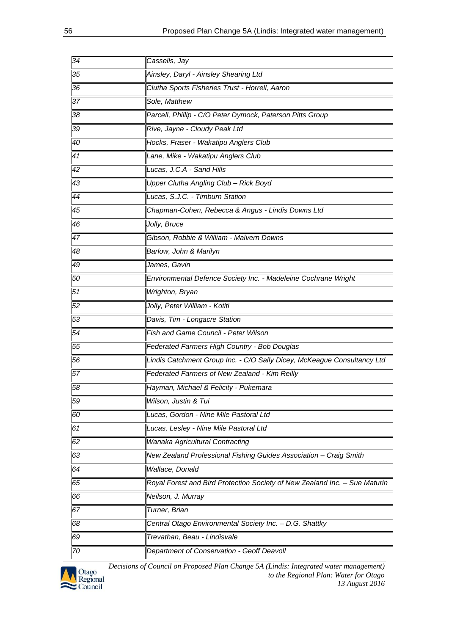| 34 | Cassells, Jay                                                              |
|----|----------------------------------------------------------------------------|
| 35 | Ainsley, Daryl - Ainsley Shearing Ltd                                      |
| 36 | Clutha Sports Fisheries Trust - Horrell, Aaron                             |
| 37 | Sole, Matthew                                                              |
| 38 | Parcell, Phillip - C/O Peter Dymock, Paterson Pitts Group                  |
| 39 | Rive, Jayne - Cloudy Peak Ltd                                              |
| 40 | Hocks, Fraser - Wakatipu Anglers Club                                      |
| 41 | Lane, Mike - Wakatipu Anglers Club                                         |
| 42 | Lucas, J.C.A - Sand Hills                                                  |
| 43 | Upper Clutha Angling Club - Rick Boyd                                      |
| 44 | Lucas, S.J.C. - Timburn Station                                            |
| 45 | Chapman-Cohen, Rebecca & Angus - Lindis Downs Ltd                          |
| 46 | Jolly, Bruce                                                               |
| 47 | Gibson, Robbie & William - Malvern Downs                                   |
| 48 | Barlow, John & Marilyn                                                     |
| 49 | James, Gavin                                                               |
| 50 | Environmental Defence Society Inc. - Madeleine Cochrane Wright             |
| 51 | Wrighton, Bryan                                                            |
| 52 | Jolly, Peter William - Kotiti                                              |
| 53 | Davis, Tim - Longacre Station                                              |
| 54 | <b>Fish and Game Council - Peter Wilson</b>                                |
| 55 | Federated Farmers High Country - Bob Douglas                               |
| 56 | Lindis Catchment Group Inc. - C/O Sally Dicey, McKeague Consultancy Ltd    |
| 57 | Federated Farmers of New Zealand - Kim Reilly                              |
| 58 | Hayman, Michael & Felicity - Pukemara                                      |
| 59 | Wilson, Justin & Tui                                                       |
| 60 | Lucas, Gordon - Nine Mile Pastoral Ltd                                     |
| 61 | Lucas, Lesley - Nine Mile Pastoral Ltd                                     |
| 62 | Wanaka Agricultural Contracting                                            |
| 63 | New Zealand Professional Fishing Guides Association - Craig Smith          |
| 64 | Wallace, Donald                                                            |
| 65 | Royal Forest and Bird Protection Society of New Zealand Inc. - Sue Maturin |
| 66 | Neilson, J. Murray                                                         |
| 67 | Turner, Brian                                                              |
| 68 | Central Otago Environmental Society Inc. - D.G. Shattky                    |
| 69 | Trevathan, Beau - Lindisvale                                               |
| 70 | Department of Conservation - Geoff Deavoll                                 |



*Decisions of Council on Proposed Plan Change 5A (Lindis: Integrated water management) to the Regional Plan: Water for Otago 13 August 2016*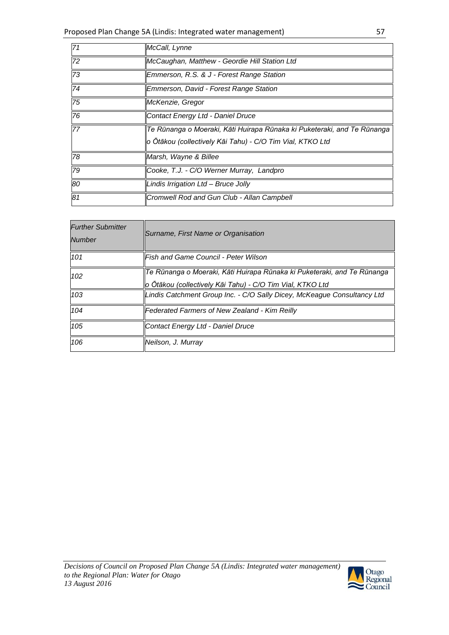| 71 | McCall, Lynne                                                                                                                        |
|----|--------------------------------------------------------------------------------------------------------------------------------------|
| 72 | McCaughan, Matthew - Geordie Hill Station Ltd                                                                                        |
| 73 | Emmerson, R.S. & J - Forest Range Station                                                                                            |
| 74 | Emmerson, David - Forest Range Station                                                                                               |
| 75 | McKenzie, Gregor                                                                                                                     |
| 76 | Contact Energy Ltd - Daniel Druce                                                                                                    |
| 77 | Te Rūnanga o Moeraki, Kāti Huirapa Rūnaka ki Puketeraki, and Te Rūnanga<br>o Ōtākou (collectively Kāi Tahu) - C/O Tim Vial, KTKO Ltd |
|    |                                                                                                                                      |
| 78 | Marsh, Wayne & Billee                                                                                                                |
| 79 | Cooke, T.J. - C/O Werner Murray, Landpro                                                                                             |
| 80 | Lindis Irrigation Ltd - Bruce Jolly                                                                                                  |

| <b>Further Submitter</b><br><b>Number</b> | Surname, First Name or Organisation                                                                                                   |
|-------------------------------------------|---------------------------------------------------------------------------------------------------------------------------------------|
| 101                                       | llFish and Game Council - Peter Wilson                                                                                                |
| 102                                       | Te Rūnanga o Moeraki, Kāti Huirapa Rūnaka ki Puketeraki, and Te Rūnanga<br>lo Ōtākou (collectively Kāi Tahu) - C/O Tim Vial, KTKO Ltd |
| 103                                       | Lindis Catchment Group Inc. - C/O Sally Dicey, McKeague Consultancy Ltd                                                               |
| 104                                       | Federated Farmers of New Zealand - Kim Reilly                                                                                         |
| 105                                       | Contact Energy Ltd - Daniel Druce                                                                                                     |
| 106                                       | Neilson, J. Murray                                                                                                                    |

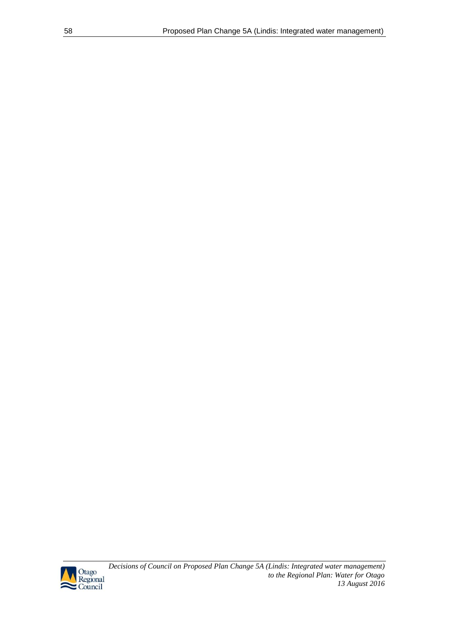<span id="page-69-0"></span>